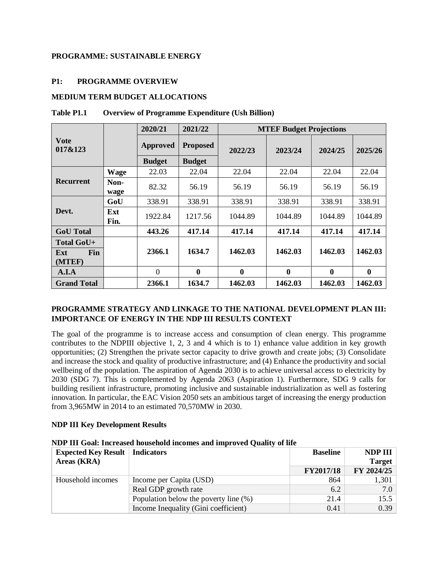### **PROGRAMME: SUSTAINABLE ENERGY**

### **P1: PROGRAMME OVERVIEW**

### **MEDIUM TERM BUDGET ALLOCATIONS**

|                                           |              | 2020/21         | 2021/22          | <b>MTEF Budget Projections</b> |                  |                  |          |  |  |
|-------------------------------------------|--------------|-----------------|------------------|--------------------------------|------------------|------------------|----------|--|--|
| <b>Vote</b><br>017&123                    |              | <b>Approved</b> | <b>Proposed</b>  | 2022/23                        | 2023/24          | 2024/25          | 2025/26  |  |  |
|                                           |              | <b>Budget</b>   | <b>Budget</b>    |                                |                  |                  |          |  |  |
|                                           | <b>Wage</b>  | 22.03           | 22.04            | 22.04                          | 22.04            | 22.04            | 22.04    |  |  |
| <b>Recurrent</b>                          | Non-<br>wage | 82.32           | 56.19            | 56.19                          | 56.19            | 56.19            | 56.19    |  |  |
|                                           | GoU          | 338.91          | 338.91           | 338.91                         | 338.91           | 338.91           | 338.91   |  |  |
| Devt.                                     | Ext<br>Fin.  | 1922.84         | 1217.56          | 1044.89                        | 1044.89          | 1044.89          | 1044.89  |  |  |
| <b>GoU</b> Total                          |              | 443.26          | 417.14           | 417.14                         | 417.14           | 417.14           | 417.14   |  |  |
| Total GoU+<br><b>Fin</b><br>Ext<br>(MTEF) |              | 2366.1          | 1634.7           | 1462.03                        | 1462.03          | 1462.03          | 1462.03  |  |  |
| A.I.A                                     |              | $\theta$        | $\boldsymbol{0}$ | $\boldsymbol{0}$               | $\boldsymbol{0}$ | $\boldsymbol{0}$ | $\bf{0}$ |  |  |
| <b>Grand Total</b>                        |              | 2366.1          | 1634.7           | 1462.03                        | 1462.03          | 1462.03          | 1462.03  |  |  |

#### **Table P1.1 Overview of Programme Expenditure (Ush Billion)**

## **PROGRAMME STRATEGY AND LINKAGE TO THE NATIONAL DEVELOPMENT PLAN III: IMPORTANCE OF ENERGY IN THE NDP III RESULTS CONTEXT**

The goal of the programme is to increase access and consumption of clean energy. This programme contributes to the NDPIII objective 1, 2, 3 and 4 which is to 1) enhance value addition in key growth opportunities; (2) Strengthen the private sector capacity to drive growth and create jobs; (3) Consolidate and increase the stock and quality of productive infrastructure; and (4) Enhance the productivity and social wellbeing of the population. The aspiration of Agenda 2030 is to achieve universal access to electricity by 2030 (SDG 7). This is complemented by Agenda 2063 (Aspiration 1). Furthermore, SDG 9 calls for building resilient infrastructure, promoting inclusive and sustainable industrialization as well as fostering innovation. In particular, the EAC Vision 2050 sets an ambitious target of increasing the energy production from 3,965MW in 2014 to an estimated 70,570MW in 2030.

#### **NDP III Key Development Results**

| NDP III Goal: Increased household incomes and improved Quality of life |  |  |  |  |  |  |
|------------------------------------------------------------------------|--|--|--|--|--|--|
| Expected Key Result   Indicators                                       |  |  |  |  |  |  |

| <b>Expected Key Result   Indicators</b> |                                       | <b>Baseline</b> | NDP III       |
|-----------------------------------------|---------------------------------------|-----------------|---------------|
| Areas (KRA)                             |                                       |                 | <b>Target</b> |
|                                         |                                       | FY2017/18       | FY 2024/25    |
| Household incomes                       | Income per Capita (USD)               | 864             | 1,301         |
|                                         | Real GDP growth rate                  | 6.2             | 7.0           |
|                                         | Population below the poverty line (%) | 21.4            | 15.5          |
|                                         | Income Inequality (Gini coefficient)  | 0.41            | 0.39          |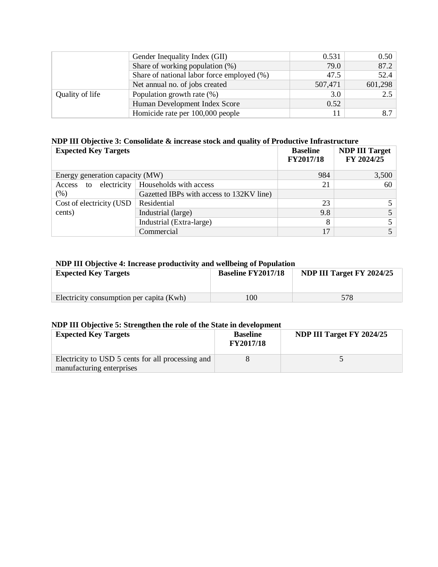|                 | Gender Inequality Index (GII)              | 0.531   | 0.50    |
|-----------------|--------------------------------------------|---------|---------|
|                 | Share of working population $(\%)$         | 79.0    | 87.2    |
|                 | Share of national labor force employed (%) | 47.5    | 52.4    |
|                 | Net annual no. of jobs created             | 507,471 | 601,298 |
| Quality of life | Population growth rate (%)                 | 3.0     | 2.5     |
|                 | Human Development Index Score              | 0.52    |         |
|                 | Homicide rate per 100,000 people           |         | 8.7     |

## **NDP III Objective 3: Consolidate & increase stock and quality of Productive Infrastructure**

| <b>Expected Key Targets</b>     |                                          | <b>Baseline</b><br>FY2017/18 | <b>NDP III Target</b><br>FY 2024/25 |
|---------------------------------|------------------------------------------|------------------------------|-------------------------------------|
| Energy generation capacity (MW) |                                          | 984                          | 3,500                               |
| electricity<br>Access to        | Households with access                   | 21                           | 60                                  |
| $(\%)$                          | Gazetted IBPs with access to 132KV line) |                              |                                     |
| Cost of electricity (USD        | Residential                              | 23                           |                                     |
| cents)                          | Industrial (large)                       | 9.8                          |                                     |
|                                 | Industrial (Extra-large)                 | 8                            |                                     |
|                                 | Commercial                               | 17                           |                                     |

## **NDP III Objective 4: Increase productivity and wellbeing of Population**

| <b>Expected Key Targets</b>              | <b>Baseline FY2017/18</b> | NDP III Target FY 2024/25 |
|------------------------------------------|---------------------------|---------------------------|
| Electricity consumption per capita (Kwh) | 100                       | 578                       |

## **NDP III Objective 5: Strengthen the role of the State in development**

| <b>Expected Key Targets</b>                                                    | <b>Baseline</b><br><b>FY2017/18</b> | NDP III Target FY 2024/25 |
|--------------------------------------------------------------------------------|-------------------------------------|---------------------------|
| Electricity to USD 5 cents for all processing and<br>manufacturing enterprises |                                     |                           |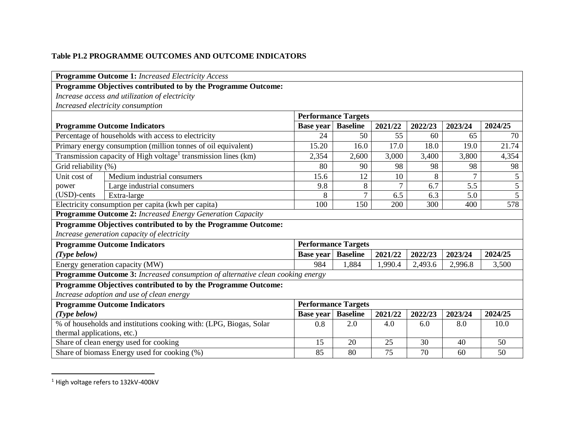# **Table P1.2 PROGRAMME OUTCOMES AND OUTCOME INDICATORS**

|                                                                                      | <b>Programme Outcome 1:</b> Increased Electricity Access                       |                  |                            |         |         |         |                |  |
|--------------------------------------------------------------------------------------|--------------------------------------------------------------------------------|------------------|----------------------------|---------|---------|---------|----------------|--|
|                                                                                      | Programme Objectives contributed to by the Programme Outcome:                  |                  |                            |         |         |         |                |  |
|                                                                                      | Increase access and utilization of electricity                                 |                  |                            |         |         |         |                |  |
|                                                                                      | Increased electricity consumption                                              |                  |                            |         |         |         |                |  |
| <b>Performance Targets</b>                                                           |                                                                                |                  |                            |         |         |         |                |  |
|                                                                                      | <b>Programme Outcome Indicators</b>                                            | <b>Base year</b> | <b>Baseline</b>            | 2021/22 | 2022/23 | 2023/24 | 2024/25        |  |
|                                                                                      | Percentage of households with access to electricity                            | 24               | 50                         | 55      | 60      | 65      | 70             |  |
|                                                                                      | Primary energy consumption (million tonnes of oil equivalent)                  | 15.20            | 16.0                       | 17.0    | 18.0    | 19.0    | 21.74          |  |
|                                                                                      | Transmission capacity of High voltage <sup>1</sup> transmission lines (km)     | 2,354            | 2,600                      | 3,000   | 3,400   | 3,800   | 4,354          |  |
| Grid reliability (%)                                                                 |                                                                                | 80               | 90                         | 98      | 98      | 98      | 98             |  |
| Unit cost of                                                                         | Medium industrial consumers                                                    | 15.6             | 12                         | 10      | 8       | $\tau$  | 5              |  |
| power                                                                                | Large industrial consumers                                                     | 9.8              | 8                          | 7       | 6.7     | 5.5     | $\overline{5}$ |  |
| $(USD)$ -cents                                                                       | Extra-large                                                                    | 8                | $\overline{7}$             | 6.5     | 6.3     | 5.0     | $\overline{5}$ |  |
|                                                                                      | Electricity consumption per capita (kwh per capita)                            | 100              | 150                        | 200     | 300     | 400     | 578            |  |
|                                                                                      | Programme Outcome 2: Increased Energy Generation Capacity                      |                  |                            |         |         |         |                |  |
|                                                                                      | Programme Objectives contributed to by the Programme Outcome:                  |                  |                            |         |         |         |                |  |
|                                                                                      | Increase generation capacity of electricity                                    |                  |                            |         |         |         |                |  |
|                                                                                      | <b>Programme Outcome Indicators</b>                                            |                  | <b>Performance Targets</b> |         |         |         |                |  |
| $(Type\ below)$                                                                      |                                                                                | <b>Base year</b> | <b>Baseline</b>            | 2021/22 | 2022/23 | 2023/24 | 2024/25        |  |
|                                                                                      | Energy generation capacity (MW)                                                | 984              | 1,884                      | 1,990.4 | 2,493.6 | 2,996.8 | 3,500          |  |
|                                                                                      | Programme Outcome 3: Increased consumption of alternative clean cooking energy |                  |                            |         |         |         |                |  |
|                                                                                      | Programme Objectives contributed to by the Programme Outcome:                  |                  |                            |         |         |         |                |  |
|                                                                                      | Increase adoption and use of clean energy                                      |                  |                            |         |         |         |                |  |
| <b>Performance Targets</b><br><b>Programme Outcome Indicators</b>                    |                                                                                |                  |                            |         |         |         |                |  |
| <b>Baseline</b><br>(Type below)<br>2021/22<br>2022/23<br>2023/24<br><b>Base year</b> |                                                                                |                  |                            |         |         | 2024/25 |                |  |
|                                                                                      | % of households and institutions cooking with: (LPG, Biogas, Solar             | 0.8              | 2.0                        | 4.0     | 6.0     | 8.0     | 10.0           |  |
| thermal applications, etc.)                                                          |                                                                                |                  |                            |         |         |         |                |  |
|                                                                                      | Share of clean energy used for cooking                                         | 15               | 20                         | 25      | 30      | 40      | 50             |  |
|                                                                                      | Share of biomass Energy used for cooking (%)                                   | 85               | 80                         | 75      | 70      | 60      | 50             |  |

<sup>&</sup>lt;sup>1</sup> High voltage refers to 132kV-400kV

 $\overline{a}$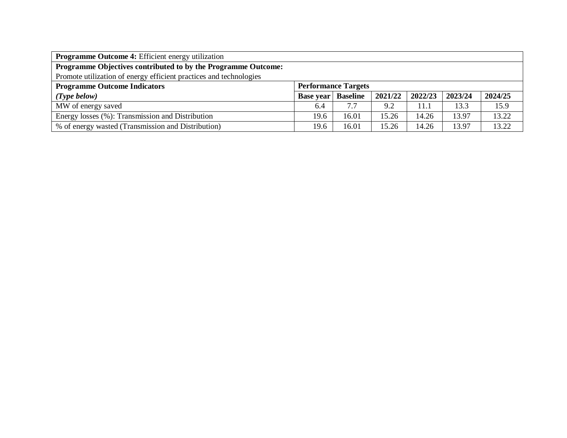| <b>Programme Outcome 4:</b> Efficient energy utilization           |                  |                            |         |         |         |         |  |  |
|--------------------------------------------------------------------|------------------|----------------------------|---------|---------|---------|---------|--|--|
| Programme Objectives contributed to by the Programme Outcome:      |                  |                            |         |         |         |         |  |  |
| Promote utilization of energy efficient practices and technologies |                  |                            |         |         |         |         |  |  |
| <b>Programme Outcome Indicators</b>                                |                  | <b>Performance Targets</b> |         |         |         |         |  |  |
| (Type below)                                                       | <b>Base year</b> | <b>Baseline</b>            | 2021/22 | 2022/23 | 2023/24 | 2024/25 |  |  |
| MW of energy saved                                                 | 6.4              | 7.7                        | 9.2     | 11.1    | 13.3    | 15.9    |  |  |
| Energy losses (%): Transmission and Distribution                   | 19.6             | 16.01                      | 15.26   | 14.26   | 13.97   | 13.22   |  |  |
| % of energy wasted (Transmission and Distribution)                 | 19.6             | 16.01                      | 15.26   | 14.26   | 13.97   | 13.22   |  |  |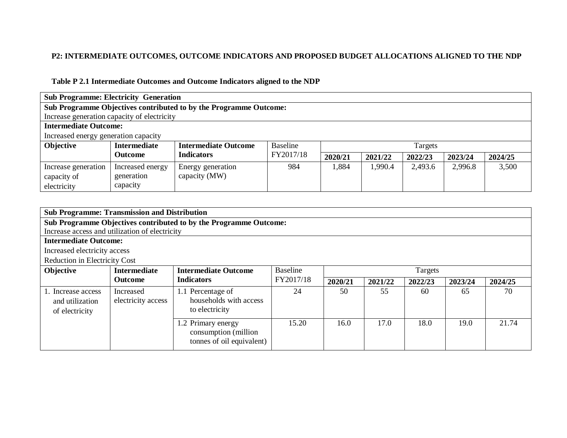# **P2: INTERMEDIATE OUTCOMES, OUTCOME INDICATORS AND PROPOSED BUDGET ALLOCATIONS ALIGNED TO THE NDP**

# **Table P 2.1 Intermediate Outcomes and Outcome Indicators aligned to the NDP**

| <b>Sub Programme: Electricity Generation</b>                      |                     |                             |           |         |         |         |         |         |  |  |
|-------------------------------------------------------------------|---------------------|-----------------------------|-----------|---------|---------|---------|---------|---------|--|--|
| Sub Programme Objectives contributed to by the Programme Outcome: |                     |                             |           |         |         |         |         |         |  |  |
| Increase generation capacity of electricity                       |                     |                             |           |         |         |         |         |         |  |  |
| <b>Intermediate Outcome:</b>                                      |                     |                             |           |         |         |         |         |         |  |  |
| Increased energy generation capacity                              |                     |                             |           |         |         |         |         |         |  |  |
| <b>Objective</b>                                                  | <b>Intermediate</b> | <b>Intermediate Outcome</b> | Baseline  |         |         | Targets |         |         |  |  |
|                                                                   | <b>Outcome</b>      | <b>Indicators</b>           | FY2017/18 | 2020/21 | 2021/22 | 2022/23 | 2023/24 | 2024/25 |  |  |
| Increase generation                                               | Increased energy    | Energy generation           | 984       | 1,884   | 1,990.4 | 2,493.6 | 2,996.8 | 3,500   |  |  |
| capacity of                                                       | generation          | capacity (MW)               |           |         |         |         |         |         |  |  |
| electricity                                                       | capacity            |                             |           |         |         |         |         |         |  |  |

| <b>Sub Programme: Transmission and Distribution</b>     |                                 |                                                                         |           |         |         |         |         |         |
|---------------------------------------------------------|---------------------------------|-------------------------------------------------------------------------|-----------|---------|---------|---------|---------|---------|
|                                                         |                                 | Sub Programme Objectives contributed to by the Programme Outcome:       |           |         |         |         |         |         |
| Increase access and utilization of electricity          |                                 |                                                                         |           |         |         |         |         |         |
| <b>Intermediate Outcome:</b>                            |                                 |                                                                         |           |         |         |         |         |         |
| Increased electricity access                            |                                 |                                                                         |           |         |         |         |         |         |
| <b>Reduction in Electricity Cost</b>                    |                                 |                                                                         |           |         |         |         |         |         |
| Objective                                               | <b>Intermediate</b>             | <b>Intermediate Outcome</b>                                             | Baseline  | Targets |         |         |         |         |
|                                                         | <b>Outcome</b>                  | <b>Indicators</b>                                                       | FY2017/18 | 2020/21 | 2021/22 | 2022/23 | 2023/24 | 2024/25 |
| 1. Increase access<br>and utilization<br>of electricity | Increased<br>electricity access | 1.1 Percentage of<br>households with access<br>to electricity           | 24        | 50      | 55      | 60      | 65      | 70      |
|                                                         |                                 | 1.2 Primary energy<br>consumption (million<br>tonnes of oil equivalent) | 15.20     | 16.0    | 17.0    | 18.0    | 19.0    | 21.74   |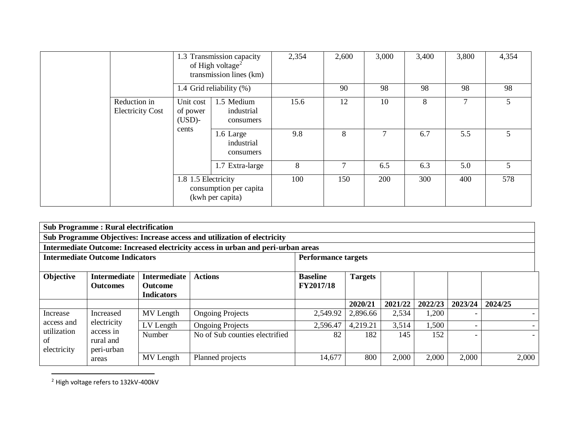|                                         |                                            | 1.3 Transmission capacity<br>of High voltage <sup>2</sup><br>transmission lines (km) | 2,354 | 2,600 | 3,000 | 3,400 | 3,800 | 4,354 |
|-----------------------------------------|--------------------------------------------|--------------------------------------------------------------------------------------|-------|-------|-------|-------|-------|-------|
|                                         |                                            | 1.4 Grid reliability (%)                                                             |       | 90    | 98    | 98    | 98    | 98    |
| Reduction in<br><b>Electricity Cost</b> | Unit cost<br>of power<br>$(USD)$ -         | 1.5 Medium<br>industrial<br>consumers                                                | 15.6  | 12    | 10    | 8     |       |       |
|                                         | cents                                      | 1.6 Large<br>industrial<br>consumers                                                 | 9.8   | 8     |       | 6.7   | 5.5   | 5.    |
|                                         |                                            | 1.7 Extra-large                                                                      | 8     | 7     | 6.5   | 6.3   | 5.0   | 5     |
| 1.8 1.5 Electricity                     | consumption per capita<br>(kwh per capita) | 100                                                                                  | 150   | 200   | 300   | 400   | 578   |       |

|                                        | <b>Sub Programme: Rural electrification</b>   |                                                            |                                                                                  |                                     |                |         |         |         |         |
|----------------------------------------|-----------------------------------------------|------------------------------------------------------------|----------------------------------------------------------------------------------|-------------------------------------|----------------|---------|---------|---------|---------|
|                                        |                                               |                                                            | Sub Programme Objectives: Increase access and utilization of electricity         |                                     |                |         |         |         |         |
|                                        |                                               |                                                            | Intermediate Outcome: Increased electricity access in urban and peri-urban areas |                                     |                |         |         |         |         |
| <b>Intermediate Outcome Indicators</b> |                                               |                                                            | <b>Performance targets</b>                                                       |                                     |                |         |         |         |         |
| Objective                              | <b>Intermediate</b><br><b>Outcomes</b>        | <b>Intermediate</b><br><b>Outcome</b><br><b>Indicators</b> | <b>Actions</b>                                                                   | <b>Baseline</b><br><b>FY2017/18</b> | <b>Targets</b> |         |         |         |         |
|                                        |                                               |                                                            |                                                                                  |                                     | 2020/21        | 2021/22 | 2022/23 | 2023/24 | 2024/25 |
| Increase                               | Increased                                     | MV Length                                                  | <b>Ongoing Projects</b>                                                          | 2,549.92                            | 2,896.66       | 2,534   | 1,200   |         |         |
| access and                             | electricity                                   | LV Length                                                  | <b>Ongoing Projects</b>                                                          | 2,596.47                            | 4,219.21       | 3,514   | 1,500   |         |         |
| utilization<br>of<br>electricity       | access in<br>rural and<br>peri-urban<br>areas | Number                                                     | No of Sub counties electrified                                                   | 82                                  | 182            | 145     | 152     |         |         |
|                                        |                                               | MV Length                                                  | Planned projects                                                                 | 14,677                              | 800            | 2,000   | 2,000   | 2,000   | 2,000   |

<sup>2</sup> High voltage refers to 132kV-400kV

 $\overline{a}$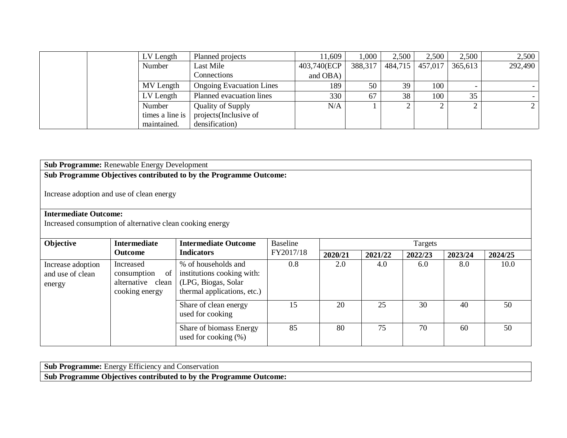| LV Length                             | Planned projects                | 11,609      | 1,000   | 2,500   | 2,500   | 2,500   | 2,500   |
|---------------------------------------|---------------------------------|-------------|---------|---------|---------|---------|---------|
| Number<br>Last Mile                   |                                 | 403,740(ECP | 388,317 | 484,715 | 457,017 | 365,613 | 292,490 |
|                                       | Connections                     | and OBA)    |         |         |         |         |         |
| MV Length                             | <b>Ongoing Evacuation Lines</b> | 189         | 50      | 39      | 100     |         |         |
| LV Length<br>Planned evacuation lines |                                 | 330         | 67      | 38      | 100     | 35      |         |
| Number                                | <b>Quality of Supply</b>        | N/A         |         |         | ∼       |         |         |
| times a line is                       | projects(Inclusive of           |             |         |         |         |         |         |
| maintained.                           | densification)                  |             |         |         |         |         |         |

# **Sub Programme:** Renewable Energy Development

# **Sub Programme Objectives contributed to by the Programme Outcome:**

Increase adoption and use of clean energy

## **Intermediate Outcome:**

Increased consumption of alternative clean cooking energy

| <b>Objective</b>                                | <b>Intermediate</b>                                                              | <b>Intermediate Outcome</b>                                                                              | <b>Baseline</b> | Targets |         |         |         |         |  |
|-------------------------------------------------|----------------------------------------------------------------------------------|----------------------------------------------------------------------------------------------------------|-----------------|---------|---------|---------|---------|---------|--|
|                                                 | <b>Outcome</b>                                                                   | <b>Indicators</b>                                                                                        | FY2017/18       | 2020/21 | 2021/22 | 2022/23 | 2023/24 | 2024/25 |  |
| Increase adoption<br>and use of clean<br>energy | Increased<br><sub>of</sub><br>consumption<br>alternative clean<br>cooking energy | % of households and<br>institutions cooking with:<br>(LPG, Biogas, Solar)<br>thermal applications, etc.) | 0.8             | 2.0     | 4.0     | 6.0     | 8.0     | 10.0    |  |
|                                                 |                                                                                  | Share of clean energy<br>used for cooking                                                                | 15              | 20      | 25      | 30      | 40      | 50      |  |
|                                                 |                                                                                  | Share of biomass Energy<br>used for cooking $(\%)$                                                       | 85              | 80      | 75      | 70      | 60      | 50      |  |

**Sub Programme:** Energy Efficiency and Conservation **Sub Programme Objectives contributed to by the Programme Outcome:**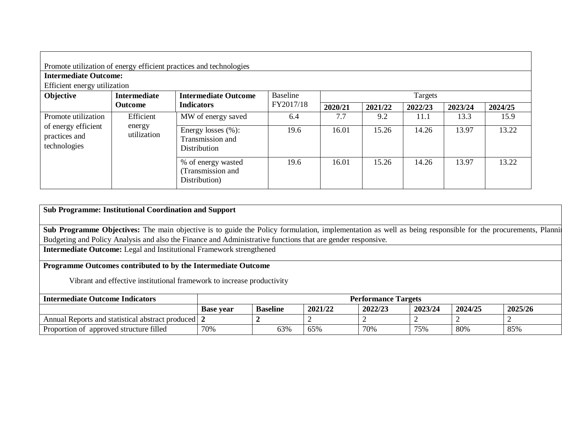|                                                                             |                                    | Promote utilization of energy efficient practices and technologies |                 |         |         |         |         |         |  |  |
|-----------------------------------------------------------------------------|------------------------------------|--------------------------------------------------------------------|-----------------|---------|---------|---------|---------|---------|--|--|
| <b>Intermediate Outcome:</b>                                                |                                    |                                                                    |                 |         |         |         |         |         |  |  |
| Efficient energy utilization                                                |                                    |                                                                    |                 |         |         |         |         |         |  |  |
| Objective                                                                   | <b>Intermediate</b>                | <b>Intermediate Outcome</b>                                        | <b>Baseline</b> |         | Targets |         |         |         |  |  |
|                                                                             | Outcome                            | <b>Indicators</b>                                                  | FY2017/18       | 2020/21 | 2021/22 | 2022/23 | 2023/24 | 2024/25 |  |  |
| Promote utilization<br>of energy efficient<br>practices and<br>technologies | Efficient<br>energy<br>utilization | MW of energy saved                                                 | 6.4             | 7.7     | 9.2     | 11.1    | 13.3    | 15.9    |  |  |
|                                                                             |                                    | Energy losses $(\%):$<br>Transmission and<br>Distribution          | 19.6            | 16.01   | 15.26   | 14.26   | 13.97   | 13.22   |  |  |
|                                                                             |                                    | % of energy wasted<br>(Transmission and<br>Distribution)           | 19.6            | 16.01   | 15.26   | 14.26   | 13.97   | 13.22   |  |  |

# **Sub Programme: Institutional Coordination and Support**

**Sub Programme Objectives:** The main objective is to guide the Policy formulation, implementation as well as being responsible for the procurements, Planning Budgeting and Policy Analysis and also the Finance and Administrative functions that are gender responsive.

**Intermediate Outcome:** Legal and Institutional Framework strengthened

# **Programme Outcomes contributed to by the Intermediate Outcome**

Vibrant and effective institutional framework to increase productivity

| <b>Intermediate Outcome Indicators</b>                  | <b>Performance Targets</b> |                 |         |         |         |         |         |
|---------------------------------------------------------|----------------------------|-----------------|---------|---------|---------|---------|---------|
|                                                         | <b>Base vear</b>           | <b>Baseline</b> | 2021/22 | 2022/23 | 2023/24 | 2024/25 | 2025/26 |
| Annual Reports and statistical abstract produced        |                            |                 |         |         |         |         |         |
| <sup>e</sup> approved structure filled<br>Proportion of | 70%                        | 63%             | 65%     | 70%     | 75%     | 80%     | 85%     |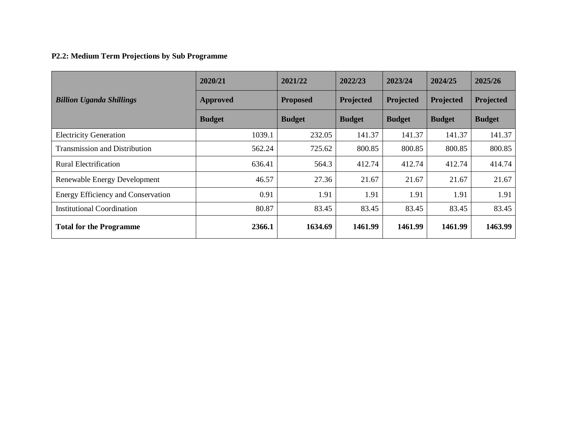# **P2.2: Medium Term Projections by Sub Programme**

|                                           | 2020/21         | 2021/22         | 2022/23       | 2023/24       | 2024/25       | 2025/26       |
|-------------------------------------------|-----------------|-----------------|---------------|---------------|---------------|---------------|
| <b>Billion Uganda Shillings</b>           | <b>Approved</b> | <b>Proposed</b> | Projected     | Projected     | Projected     | Projected     |
|                                           | <b>Budget</b>   | <b>Budget</b>   | <b>Budget</b> | <b>Budget</b> | <b>Budget</b> | <b>Budget</b> |
| <b>Electricity Generation</b>             | 1039.1          | 232.05          | 141.37        | 141.37        | 141.37        | 141.37        |
| <b>Transmission and Distribution</b>      | 562.24          | 725.62          | 800.85        | 800.85        | 800.85        | 800.85        |
| <b>Rural Electrification</b>              | 636.41          | 564.3           | 412.74        | 412.74        | 412.74        | 414.74        |
| Renewable Energy Development              | 46.57           | 27.36           | 21.67         | 21.67         | 21.67         | 21.67         |
| <b>Energy Efficiency and Conservation</b> | 0.91            | 1.91            | 1.91          | 1.91          | 1.91          | 1.91          |
| <b>Institutional Coordination</b>         | 80.87           | 83.45           | 83.45         | 83.45         | 83.45         | 83.45         |
| <b>Total for the Programme</b>            | 2366.1          | 1634.69         | 1461.99       | 1461.99       | 1461.99       | 1463.99       |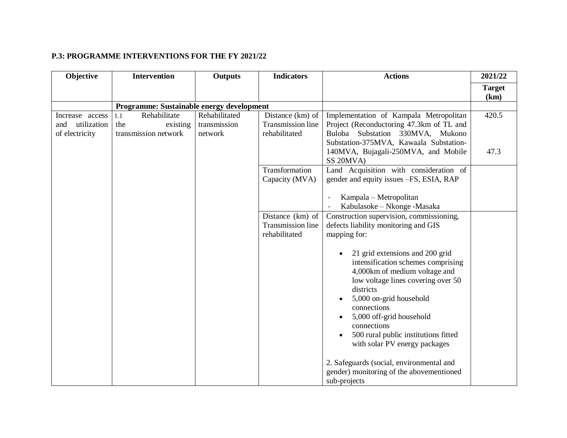# **P.3: PROGRAMME INTERVENTIONS FOR THE FY 2021/22**

| Objective          | <b>Intervention</b>                       | <b>Outputs</b> | <b>Indicators</b> | <b>Actions</b>                                                                                                                                                                                                                                                                                                                                    | 2021/22       |
|--------------------|-------------------------------------------|----------------|-------------------|---------------------------------------------------------------------------------------------------------------------------------------------------------------------------------------------------------------------------------------------------------------------------------------------------------------------------------------------------|---------------|
|                    |                                           |                |                   |                                                                                                                                                                                                                                                                                                                                                   | <b>Target</b> |
|                    |                                           |                |                   |                                                                                                                                                                                                                                                                                                                                                   | (km)          |
|                    | Programme: Sustainable energy development |                |                   |                                                                                                                                                                                                                                                                                                                                                   |               |
| Increase access    | Rehabilitate<br>1.1                       | Rehabilitated  | Distance (km) of  | Implementation of Kampala Metropolitan                                                                                                                                                                                                                                                                                                            | 420.5         |
| and<br>utilization | the<br>existing                           | transmission   | Transmission line | Project (Reconductoring 47.3km of TL and                                                                                                                                                                                                                                                                                                          |               |
| of electricity     | transmission network                      | network        | rehabilitated     | Buloba Substation 330MVA, Mukono                                                                                                                                                                                                                                                                                                                  |               |
|                    |                                           |                |                   | Substation-375MVA, Kawaala Substation-                                                                                                                                                                                                                                                                                                            |               |
|                    |                                           |                |                   | 140MVA, Bujagali-250MVA, and Mobile<br>SS 20MVA)                                                                                                                                                                                                                                                                                                  | 47.3          |
|                    |                                           |                | Transformation    | Land Acquisition with consideration of                                                                                                                                                                                                                                                                                                            |               |
|                    |                                           |                | Capacity (MVA)    | gender and equity issues -FS, ESIA, RAP                                                                                                                                                                                                                                                                                                           |               |
|                    |                                           |                |                   | Kampala – Metropolitan                                                                                                                                                                                                                                                                                                                            |               |
|                    |                                           |                |                   | Kabulasoke - Nkonge - Masaka                                                                                                                                                                                                                                                                                                                      |               |
|                    |                                           |                | Distance (km) of  | Construction supervision, commissioning,                                                                                                                                                                                                                                                                                                          |               |
|                    |                                           |                | Transmission line | defects liability monitoring and GIS                                                                                                                                                                                                                                                                                                              |               |
|                    |                                           |                | rehabilitated     | mapping for:                                                                                                                                                                                                                                                                                                                                      |               |
|                    |                                           |                |                   | 21 grid extensions and 200 grid<br>intensification schemes comprising<br>4,000km of medium voltage and<br>low voltage lines covering over 50<br>districts<br>5,000 on-grid household<br>connections<br>5,000 off-grid household<br>$\bullet$<br>connections<br>500 rural public institutions fitted<br>$\bullet$<br>with solar PV energy packages |               |
|                    |                                           |                |                   | 2. Safeguards (social, environmental and<br>gender) monitoring of the abovementioned<br>sub-projects                                                                                                                                                                                                                                              |               |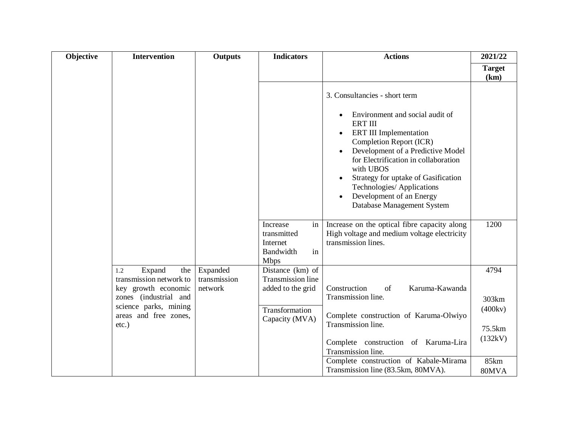| Objective | <b>Intervention</b>                                                                               | <b>Outputs</b>                      | <b>Indicators</b>                                                           | <b>Actions</b>                                                                                                                                                                                                                                                                                                                         | 2021/22                    |
|-----------|---------------------------------------------------------------------------------------------------|-------------------------------------|-----------------------------------------------------------------------------|----------------------------------------------------------------------------------------------------------------------------------------------------------------------------------------------------------------------------------------------------------------------------------------------------------------------------------------|----------------------------|
|           |                                                                                                   |                                     |                                                                             |                                                                                                                                                                                                                                                                                                                                        | <b>Target</b><br>(km)      |
|           |                                                                                                   |                                     |                                                                             | 3. Consultancies - short term                                                                                                                                                                                                                                                                                                          |                            |
|           |                                                                                                   |                                     |                                                                             | Environment and social audit of<br><b>ERT III</b><br><b>ERT III Implementation</b><br>Completion Report (ICR)<br>Development of a Predictive Model<br>for Electrification in collaboration<br>with UBOS<br>Strategy for uptake of Gasification<br>Technologies/ Applications<br>Development of an Energy<br>Database Management System |                            |
|           |                                                                                                   |                                     | Increase<br>in<br>transmitted<br>Internet<br>in<br>Bandwidth<br><b>Mbps</b> | Increase on the optical fibre capacity along<br>High voltage and medium voltage electricity<br>transmission lines.                                                                                                                                                                                                                     | 1200                       |
|           | Expand<br>the  <br>1.2<br>transmission network to<br>key growth economic<br>zones (industrial and | Expanded<br>transmission<br>network | Distance (km) of<br>Transmission line<br>added to the grid                  | Karuma-Kawanda<br>Construction<br>of<br>Transmission line.                                                                                                                                                                                                                                                                             | 4794                       |
|           | science parks, mining<br>areas and free zones,<br>$etc.$ )                                        |                                     | Transformation<br>Capacity (MVA)                                            | Complete construction of Karuma-Olwiyo<br>Transmission line.                                                                                                                                                                                                                                                                           | 303km<br>(400kv)<br>75.5km |
|           |                                                                                                   |                                     |                                                                             | Complete construction of Karuma-Lira<br>Transmission line.                                                                                                                                                                                                                                                                             | (132kV)                    |
|           |                                                                                                   |                                     |                                                                             | Complete construction of Kabale-Mirama<br>Transmission line (83.5km, 80MVA).                                                                                                                                                                                                                                                           | 85km<br>80MVA              |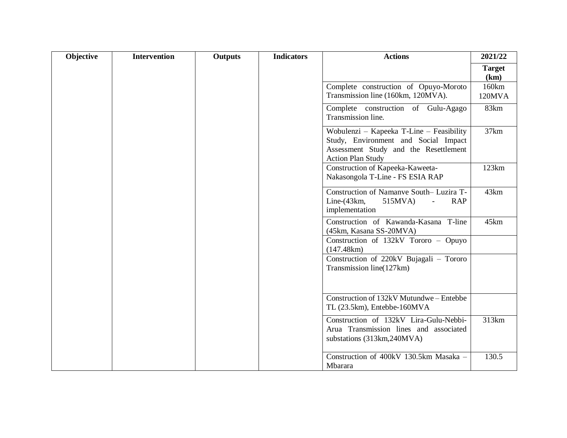| Objective | <b>Intervention</b> | <b>Outputs</b> | <b>Indicators</b> | <b>Actions</b>                                                                                                                                        | 2021/22               |
|-----------|---------------------|----------------|-------------------|-------------------------------------------------------------------------------------------------------------------------------------------------------|-----------------------|
|           |                     |                |                   |                                                                                                                                                       | <b>Target</b><br>(km) |
|           |                     |                |                   | Complete construction of Opuyo-Moroto<br>Transmission line (160km, 120MVA).                                                                           | 160km<br>120MVA       |
|           |                     |                |                   | Complete construction of Gulu-Agago<br>Transmission line.                                                                                             | 83km                  |
|           |                     |                |                   | Wobulenzi - Kapeeka T-Line - Feasibility<br>Study, Environment and Social Impact<br>Assessment Study and the Resettlement<br><b>Action Plan Study</b> | 37km                  |
|           |                     |                |                   | Construction of Kapeeka-Kaweeta-<br>Nakasongola T-Line - FS ESIA RAP                                                                                  | 123km                 |
|           |                     |                |                   | Construction of Namanye South- Luzira T-<br>Line- $(43km,$<br><b>RAP</b><br>515MVA)<br>$\equiv$<br>implementation                                     | 43km                  |
|           |                     |                |                   | Construction of Kawanda-Kasana T-line<br>(45km, Kasana SS-20MVA)                                                                                      | 45km                  |
|           |                     |                |                   | Construction of 132kV Tororo - Opuyo<br>(147.48km)                                                                                                    |                       |
|           |                     |                |                   | Construction of 220kV Bujagali - Tororo<br>Transmission line(127km)                                                                                   |                       |
|           |                     |                |                   | Construction of 132kV Mutundwe - Entebbe<br>TL (23.5km), Entebbe-160MVA                                                                               |                       |
|           |                     |                |                   | Construction of 132kV Lira-Gulu-Nebbi-<br>Arua Transmission lines and associated<br>substations (313km, 240MVA)                                       | 313km                 |
|           |                     |                |                   | Construction of 400kV 130.5km Masaka -<br>Mbarara                                                                                                     | 130.5                 |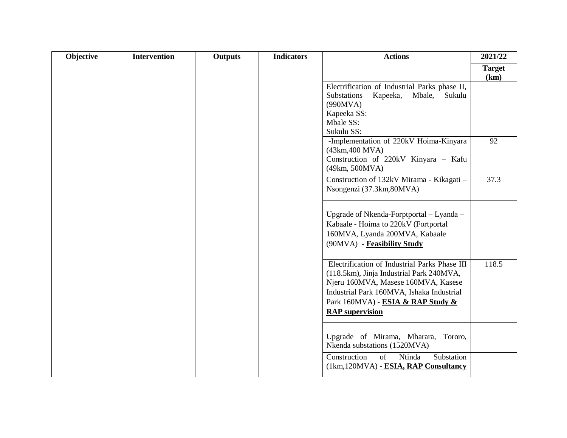| Objective | <b>Intervention</b> | <b>Outputs</b> | <b>Indicators</b> | <b>Actions</b>                                                                                                                                                                                                                               | 2021/22               |
|-----------|---------------------|----------------|-------------------|----------------------------------------------------------------------------------------------------------------------------------------------------------------------------------------------------------------------------------------------|-----------------------|
|           |                     |                |                   |                                                                                                                                                                                                                                              | <b>Target</b><br>(km) |
|           |                     |                |                   | Electrification of Industrial Parks phase II,<br>Substations<br>Kapeeka,<br>Mbale,<br>Sukulu<br>(990MVA)<br>Kapeeka SS:<br>Mbale SS:<br>Sukulu SS:                                                                                           |                       |
|           |                     |                |                   | -Implementation of 220kV Hoima-Kinyara<br>(43km, 400 MVA)<br>Construction of 220kV Kinyara - Kafu<br>(49km, 500MVA)                                                                                                                          | 92                    |
|           |                     |                |                   | Construction of 132kV Mirama - Kikagati -<br>Nsongenzi (37.3km,80MVA)                                                                                                                                                                        | 37.3                  |
|           |                     |                |                   | Upgrade of Nkenda-Forptportal - Lyanda -<br>Kabaale - Hoima to 220kV (Fortportal<br>160MVA, Lyanda 200MVA, Kabaale<br>(90MVA) - Feasibility Study                                                                                            |                       |
|           |                     |                |                   | Electrification of Industrial Parks Phase III<br>(118.5km), Jinja Industrial Park 240MVA,<br>Njeru 160MVA, Masese 160MVA, Kasese<br>Industrial Park 160MVA, Ishaka Industrial<br>Park 160MVA) - ESIA & RAP Study &<br><b>RAP</b> supervision | 118.5                 |
|           |                     |                |                   | Upgrade of Mirama, Mbarara, Tororo,<br>Nkenda substations (1520MVA)                                                                                                                                                                          |                       |
|           |                     |                |                   | Construction<br>of<br>Ntinda<br>Substation<br>(1km, 120MVA) - ESIA, RAP Consultancy                                                                                                                                                          |                       |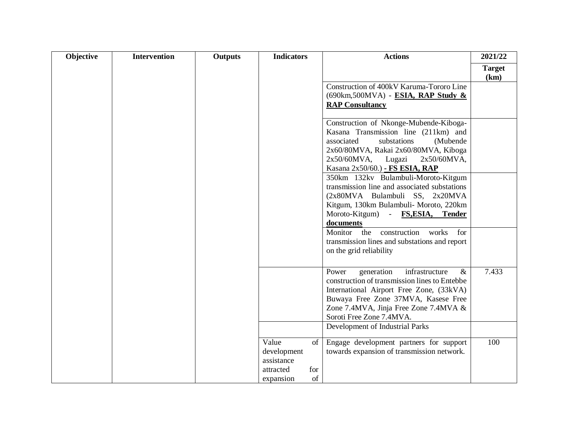| Objective | <b>Intervention</b> | Outputs | <b>Indicators</b>         |     | <b>Actions</b>                                                                                 | 2021/22               |
|-----------|---------------------|---------|---------------------------|-----|------------------------------------------------------------------------------------------------|-----------------------|
|           |                     |         |                           |     |                                                                                                | <b>Target</b><br>(km) |
|           |                     |         |                           |     | Construction of 400kV Karuma-Tororo Line<br>(690km,500MVA) - ESIA, RAP Study &                 |                       |
|           |                     |         |                           |     | <b>RAP Consultancy</b>                                                                         |                       |
|           |                     |         |                           |     | Construction of Nkonge-Mubende-Kiboga-<br>Kasana Transmission line (211km) and                 |                       |
|           |                     |         |                           |     | substations<br>associated<br>(Mubende                                                          |                       |
|           |                     |         |                           |     | 2x60/80MVA, Rakai 2x60/80MVA, Kiboga<br>$2x50/60MVA$ ,<br>Lugazi<br>2x50/60MVA,                |                       |
|           |                     |         |                           |     | Kasana 2x50/60.) - FS ESIA, RAP                                                                |                       |
|           |                     |         |                           |     | 350km 132kv Bulambuli-Moroto-Kitgum<br>transmission line and associated substations            |                       |
|           |                     |         |                           |     | (2x80MVA Bulambuli SS, 2x20MVA                                                                 |                       |
|           |                     |         |                           |     | Kitgum, 130km Bulambuli- Moroto, 220km<br>Moroto-Kitgum) - FS, ESIA, Tender                    |                       |
|           |                     |         |                           |     | documents                                                                                      |                       |
|           |                     |         |                           |     | Monitor the construction<br>for<br>works                                                       |                       |
|           |                     |         |                           |     | transmission lines and substations and report<br>on the grid reliability                       |                       |
|           |                     |         |                           |     |                                                                                                |                       |
|           |                     |         |                           |     | Power<br>infrastructure<br>$\&$<br>generation<br>construction of transmission lines to Entebbe | 7.433                 |
|           |                     |         |                           |     | International Airport Free Zone, (33kVA)                                                       |                       |
|           |                     |         |                           |     | Buwaya Free Zone 37MVA, Kasese Free                                                            |                       |
|           |                     |         |                           |     | Zone 7.4MVA, Jinja Free Zone 7.4MVA &<br>Soroti Free Zone 7.4MVA.                              |                       |
|           |                     |         |                           |     | Development of Industrial Parks                                                                |                       |
|           |                     |         | Value                     | of  | Engage development partners for support                                                        | 100                   |
|           |                     |         | development<br>assistance |     | towards expansion of transmission network.                                                     |                       |
|           |                     |         | attracted                 | for |                                                                                                |                       |
|           |                     |         | expansion                 | of  |                                                                                                |                       |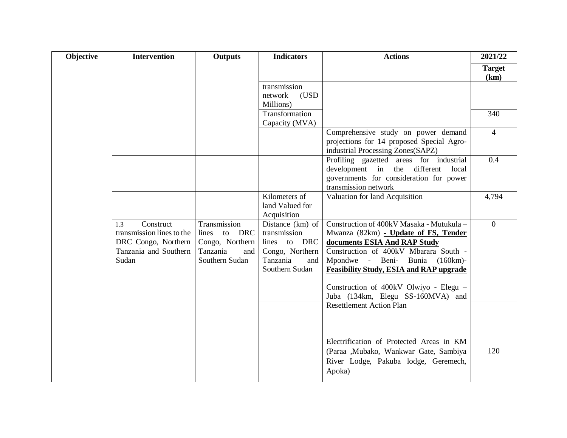| Objective | <b>Intervention</b>                                                                                    | <b>Outputs</b>                                                                          | <b>Indicators</b>                                                                                        | <b>Actions</b>                                                                                                                                                                                                                                                                                                                                                   | 2021/22               |
|-----------|--------------------------------------------------------------------------------------------------------|-----------------------------------------------------------------------------------------|----------------------------------------------------------------------------------------------------------|------------------------------------------------------------------------------------------------------------------------------------------------------------------------------------------------------------------------------------------------------------------------------------------------------------------------------------------------------------------|-----------------------|
|           |                                                                                                        |                                                                                         |                                                                                                          |                                                                                                                                                                                                                                                                                                                                                                  | <b>Target</b><br>(km) |
|           |                                                                                                        |                                                                                         | transmission<br>network<br>(USD<br>Millions)                                                             |                                                                                                                                                                                                                                                                                                                                                                  |                       |
|           |                                                                                                        |                                                                                         | Transformation<br>Capacity (MVA)                                                                         |                                                                                                                                                                                                                                                                                                                                                                  | 340                   |
|           |                                                                                                        |                                                                                         |                                                                                                          | Comprehensive study on power demand<br>projections for 14 proposed Special Agro-<br>industrial Processing Zones(SAPZ)                                                                                                                                                                                                                                            | $\overline{4}$        |
|           |                                                                                                        |                                                                                         |                                                                                                          | Profiling gazetted areas for industrial<br>development in the different local<br>governments for consideration for power<br>transmission network                                                                                                                                                                                                                 | 0.4                   |
|           |                                                                                                        |                                                                                         | Kilometers of<br>land Valued for<br>Acquisition                                                          | Valuation for land Acquisition                                                                                                                                                                                                                                                                                                                                   | 4,794                 |
|           | Construct<br>1.3<br>transmission lines to the<br>DRC Congo, Northern<br>Tanzania and Southern<br>Sudan | Transmission<br>to DRC<br>lines<br>Congo, Northern<br>Tanzania<br>and<br>Southern Sudan | Distance (km) of<br>transmission<br>lines to DRC<br>Congo, Northern<br>Tanzania<br>and<br>Southern Sudan | Construction of 400kV Masaka - Mutukula -<br>Mwanza (82km) - Update of FS, Tender<br>documents ESIA And RAP Study<br>Construction of 400kV Mbarara South -<br>Mpondwe - Beni- Bunia (160km)-<br><b>Feasibility Study, ESIA and RAP upgrade</b><br>Construction of 400kV Olwiyo - Elegu -<br>Juba (134km, Elegu SS-160MVA) and<br><b>Resettlement Action Plan</b> | $\Omega$              |
|           |                                                                                                        |                                                                                         |                                                                                                          | Electrification of Protected Areas in KM<br>(Paraa ,Mubako, Wankwar Gate, Sambiya<br>River Lodge, Pakuba lodge, Geremech,<br>Apoka)                                                                                                                                                                                                                              | 120                   |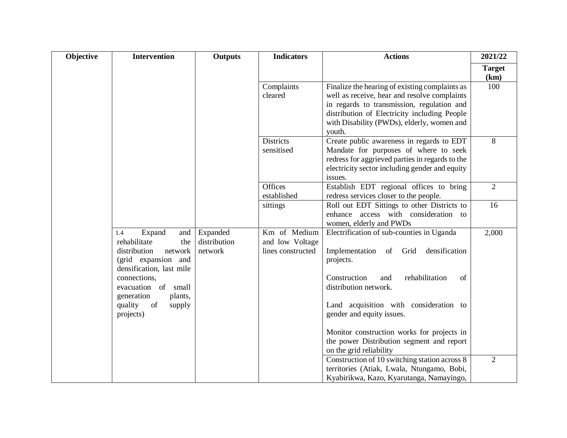| Objective | <b>Intervention</b>                                                                                                                                                                                                                 | <b>Outputs</b>                      | <b>Indicators</b>                                    | <b>Actions</b>                                                                                                                                                                                                                                                                                                                                                         | 2021/22               |
|-----------|-------------------------------------------------------------------------------------------------------------------------------------------------------------------------------------------------------------------------------------|-------------------------------------|------------------------------------------------------|------------------------------------------------------------------------------------------------------------------------------------------------------------------------------------------------------------------------------------------------------------------------------------------------------------------------------------------------------------------------|-----------------------|
|           |                                                                                                                                                                                                                                     |                                     |                                                      |                                                                                                                                                                                                                                                                                                                                                                        | <b>Target</b><br>(km) |
|           |                                                                                                                                                                                                                                     |                                     | Complaints<br>cleared                                | Finalize the hearing of existing complaints as<br>well as receive, hear and resolve complaints<br>in regards to transmission, regulation and<br>distribution of Electricity including People<br>with Disability (PWDs), elderly, women and<br>youth.                                                                                                                   | 100                   |
|           |                                                                                                                                                                                                                                     |                                     | <b>Districts</b><br>sensitised                       | Create public awareness in regards to EDT<br>Mandate for purposes of where to seek<br>redress for aggrieved parties in regards to the<br>electricity sector including gender and equity<br>issues.                                                                                                                                                                     | 8                     |
|           |                                                                                                                                                                                                                                     |                                     | <b>Offices</b><br>established                        | Establish EDT regional offices to bring<br>redress services closer to the people.                                                                                                                                                                                                                                                                                      | $\overline{2}$        |
|           |                                                                                                                                                                                                                                     |                                     | sittings                                             | Roll out EDT Sittings to other Districts to<br>enhance access with consideration to<br>women, elderly and PWDs                                                                                                                                                                                                                                                         | 16                    |
|           | Expand<br>and  <br>1.4<br>rehabilitate<br>the<br>distribution<br>network<br>(grid expansion and<br>densification, last mile<br>connections,<br>evacuation of small<br>generation<br>plants,<br>quality<br>of<br>supply<br>projects) | Expanded<br>distribution<br>network | Km of Medium<br>and low Voltage<br>lines constructed | Electrification of sub-counties in Uganda<br>densification<br>Implementation of Grid<br>projects.<br>Construction<br>rehabilitation<br>of<br>and<br>distribution network.<br>Land acquisition with consideration to<br>gender and equity issues.<br>Monitor construction works for projects in<br>the power Distribution segment and report<br>on the grid reliability | 2,000                 |
|           |                                                                                                                                                                                                                                     |                                     |                                                      | Construction of 10 switching station across 8<br>territories (Atiak, Lwala, Ntungamo, Bobi,<br>Kyabirikwa, Kazo, Kyarutanga, Namayingo,                                                                                                                                                                                                                                | 2                     |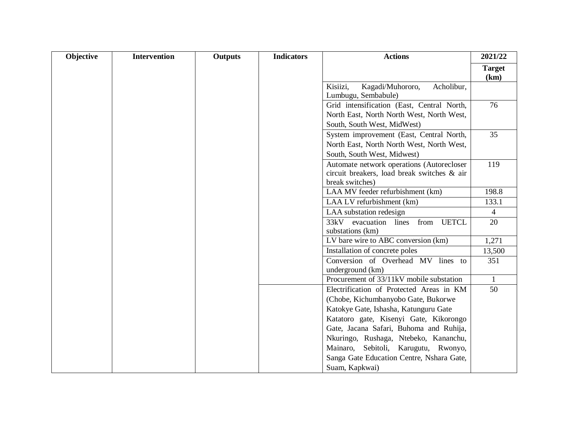| Objective | <b>Intervention</b> | Outputs | <b>Indicators</b> | <b>Actions</b>                                                                                                         | 2021/22               |
|-----------|---------------------|---------|-------------------|------------------------------------------------------------------------------------------------------------------------|-----------------------|
|           |                     |         |                   |                                                                                                                        | <b>Target</b><br>(km) |
|           |                     |         |                   | Kisiizi,<br>Kagadi/Muhororo,<br>Acholibur,<br>Lumbugu, Sembabule)                                                      |                       |
|           |                     |         |                   | Grid intensification (East, Central North,<br>North East, North North West, North West,<br>South, South West, MidWest) | 76                    |
|           |                     |         |                   | System improvement (East, Central North,<br>North East, North North West, North West,<br>South, South West, Midwest)   | 35                    |
|           |                     |         |                   | Automate network operations (Autorecloser<br>circuit breakers, load break switches & air<br>break switches)            | 119                   |
|           |                     |         |                   | LAA MV feeder refurbishment (km)                                                                                       | 198.8                 |
|           |                     |         |                   | LAA LV refurbishment (km)                                                                                              | 133.1                 |
|           |                     |         |                   | LAA substation redesign                                                                                                | $\overline{4}$        |
|           |                     |         |                   | evacuation lines from<br>33kV<br><b>UETCL</b><br>substations (km)                                                      | 20                    |
|           |                     |         |                   | LV bare wire to ABC conversion (km)                                                                                    | 1,271                 |
|           |                     |         |                   | Installation of concrete poles                                                                                         | 13,500                |
|           |                     |         |                   | Conversion of Overhead MV lines to<br>underground (km)                                                                 | 351                   |
|           |                     |         |                   | Procurement of 33/11kV mobile substation                                                                               | 1                     |
|           |                     |         |                   | Electrification of Protected Areas in KM                                                                               | 50                    |
|           |                     |         |                   | (Chobe, Kichumbanyobo Gate, Bukorwe                                                                                    |                       |
|           |                     |         |                   | Katokye Gate, Ishasha, Katunguru Gate                                                                                  |                       |
|           |                     |         |                   | Katatoro gate, Kisenyi Gate, Kikorongo                                                                                 |                       |
|           |                     |         |                   | Gate, Jacana Safari, Buhoma and Ruhija,                                                                                |                       |
|           |                     |         |                   | Nkuringo, Rushaga, Ntebeko, Kananchu,                                                                                  |                       |
|           |                     |         |                   | Mainaro, Sebitoli, Karugutu, Rwonyo,                                                                                   |                       |
|           |                     |         |                   | Sanga Gate Education Centre, Nshara Gate,                                                                              |                       |
|           |                     |         |                   | Suam, Kapkwai)                                                                                                         |                       |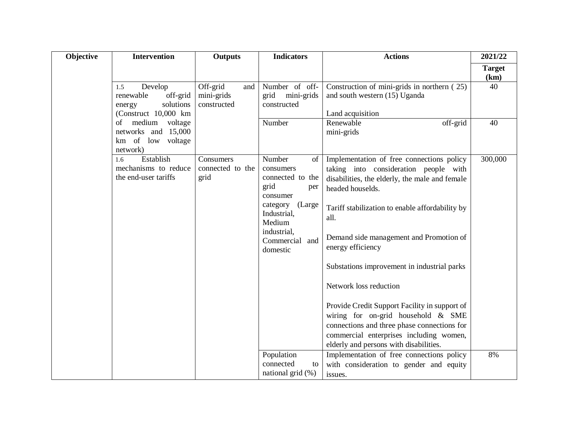| Objective | <b>Intervention</b>                                                                     | <b>Outputs</b>                               | <b>Indicators</b>                                                                                                                                                    | <b>Actions</b>                                                                                                                                                                                                                                                                                                                                                                                                                                                                                                                                                                            | 2021/22               |
|-----------|-----------------------------------------------------------------------------------------|----------------------------------------------|----------------------------------------------------------------------------------------------------------------------------------------------------------------------|-------------------------------------------------------------------------------------------------------------------------------------------------------------------------------------------------------------------------------------------------------------------------------------------------------------------------------------------------------------------------------------------------------------------------------------------------------------------------------------------------------------------------------------------------------------------------------------------|-----------------------|
|           |                                                                                         |                                              |                                                                                                                                                                      |                                                                                                                                                                                                                                                                                                                                                                                                                                                                                                                                                                                           | <b>Target</b><br>(km) |
|           | Develop<br>1.5<br>off-grid<br>renewable<br>solutions<br>energy<br>(Construct 10,000 km) | Off-grid<br>and<br>mini-grids<br>constructed | Number of off-<br>mini-grids<br>grid<br>constructed                                                                                                                  | Construction of mini-grids in northern (25)<br>and south western (15) Uganda<br>Land acquisition                                                                                                                                                                                                                                                                                                                                                                                                                                                                                          | 40                    |
|           | medium voltage<br>of<br>networks and 15,000<br>km of low voltage<br>network)            |                                              | Number                                                                                                                                                               | off-grid<br>Renewable<br>mini-grids                                                                                                                                                                                                                                                                                                                                                                                                                                                                                                                                                       | 40                    |
|           | Establish<br>1.6<br>mechanisms to reduce<br>the end-user tariffs                        | Consumers<br>connected to the<br>grid        | Number<br>of<br>consumers<br>connected to the<br>grid<br>per<br>consumer<br>(Large<br>category<br>Industrial,<br>Medium<br>industrial,<br>Commercial and<br>domestic | Implementation of free connections policy<br>taking into consideration people with<br>disabilities, the elderly, the male and female<br>headed houselds.<br>Tariff stabilization to enable affordability by<br>all.<br>Demand side management and Promotion of<br>energy efficiency<br>Substations improvement in industrial parks<br>Network loss reduction<br>Provide Credit Support Facility in support of<br>wiring for on-grid household $&$ SME<br>connections and three phase connections for<br>commercial enterprises including women,<br>elderly and persons with disabilities. | 300,000               |
|           |                                                                                         |                                              | Population<br>connected<br>to<br>national grid $(\%)$                                                                                                                | Implementation of free connections policy<br>with consideration to gender and equity<br>issues.                                                                                                                                                                                                                                                                                                                                                                                                                                                                                           | 8%                    |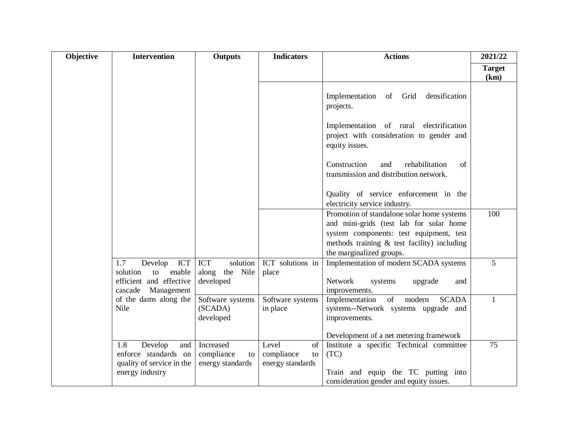| Objective | <b>Intervention</b>                                                        | <b>Outputs</b>                                        | <b>Indicators</b>                                   | <b>Actions</b>                                                                                                           | 2021/22               |
|-----------|----------------------------------------------------------------------------|-------------------------------------------------------|-----------------------------------------------------|--------------------------------------------------------------------------------------------------------------------------|-----------------------|
|           |                                                                            |                                                       |                                                     |                                                                                                                          | <b>Target</b><br>(km) |
|           |                                                                            |                                                       |                                                     | Implementation<br>densification<br>of Grid<br>projects.                                                                  |                       |
|           |                                                                            |                                                       |                                                     | Implementation of rural electrification<br>project with consideration to gender and<br>equity issues.                    |                       |
|           |                                                                            |                                                       |                                                     | Construction<br>rehabilitation<br>of<br>and<br>transmission and distribution network.                                    |                       |
|           |                                                                            |                                                       |                                                     | Quality of service enforcement in the<br>electricity service industry.                                                   |                       |
|           |                                                                            |                                                       |                                                     | Promotion of standalone solar home systems<br>and mini-grids (test lab for solar home                                    | 100                   |
|           |                                                                            |                                                       |                                                     | system components: test equipment, test<br>methods training $\&$ test facility) including<br>the marginalized groups.    |                       |
|           | Develop ICT<br>1.7<br>solution<br>enable<br>to<br>efficient and effective  | <b>ICT</b><br>solution<br>along the Nile<br>developed | ICT solutions in<br>place                           | Implementation of modern SCADA systems<br>Network<br>systems<br>upgrade<br>and                                           | 5                     |
|           | cascade Management<br>of the dams along the<br>Nile                        | Software systems<br>(SCADA)<br>developed              | Software systems<br>in place                        | improvements.<br>Implementation<br>of<br>modern<br><b>SCADA</b><br>systems--Network systems upgrade and<br>improvements. | $\mathbf{1}$          |
|           |                                                                            |                                                       |                                                     | Development of a net metering framework                                                                                  |                       |
|           | 1.8<br>Develop<br>and<br>enforce standards on<br>quality of service in the | Increased<br>compliance<br>to<br>energy standards     | Level<br>of<br>compliance<br>to<br>energy standards | Institute a specific Technical committee<br>(TC)                                                                         | 75                    |
|           | energy industry                                                            |                                                       |                                                     | Train and equip the TC putting into<br>consideration gender and equity issues.                                           |                       |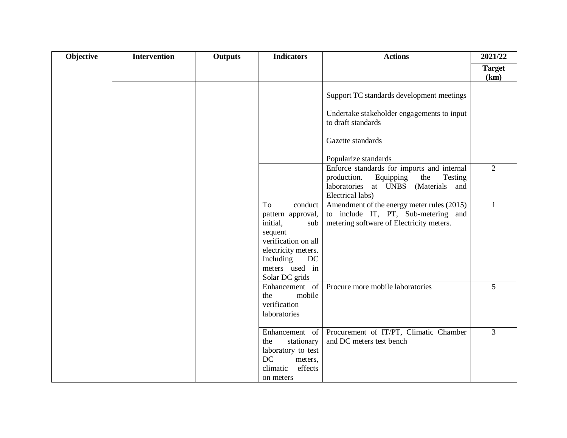| Objective | <b>Intervention</b> | <b>Outputs</b> | <b>Indicators</b>                                                                                                                                                     | <b>Actions</b>                                                                                                                                      | 2021/22               |
|-----------|---------------------|----------------|-----------------------------------------------------------------------------------------------------------------------------------------------------------------------|-----------------------------------------------------------------------------------------------------------------------------------------------------|-----------------------|
|           |                     |                |                                                                                                                                                                       |                                                                                                                                                     | <b>Target</b><br>(km) |
|           |                     |                |                                                                                                                                                                       | Support TC standards development meetings                                                                                                           |                       |
|           |                     |                |                                                                                                                                                                       | Undertake stakeholder engagements to input<br>to draft standards                                                                                    |                       |
|           |                     |                |                                                                                                                                                                       | Gazette standards                                                                                                                                   |                       |
|           |                     |                |                                                                                                                                                                       | Popularize standards                                                                                                                                |                       |
|           |                     |                |                                                                                                                                                                       | Enforce standards for imports and internal<br>production.<br>Equipping<br>the<br>Testing<br>laboratories at UNBS (Materials and<br>Electrical labs) | $\overline{2}$        |
|           |                     |                | To<br>conduct<br>pattern approval,<br>initial,<br>sub<br>sequent<br>verification on all<br>electricity meters.<br>Including<br>DC<br>meters used in<br>Solar DC grids | Amendment of the energy meter rules (2015)<br>to include IT, PT, Sub-metering and<br>metering software of Electricity meters.                       | $\mathbf{1}$          |
|           |                     |                | Enhancement of<br>mobile<br>the<br>verification<br>laboratories                                                                                                       | Procure more mobile laboratories                                                                                                                    | 5                     |
|           |                     |                | Enhancement of<br>the<br>stationary<br>laboratory to test<br>DC<br>meters,<br>effects<br>climatic<br>on meters                                                        | Procurement of IT/PT, Climatic Chamber<br>and DC meters test bench                                                                                  | $\overline{3}$        |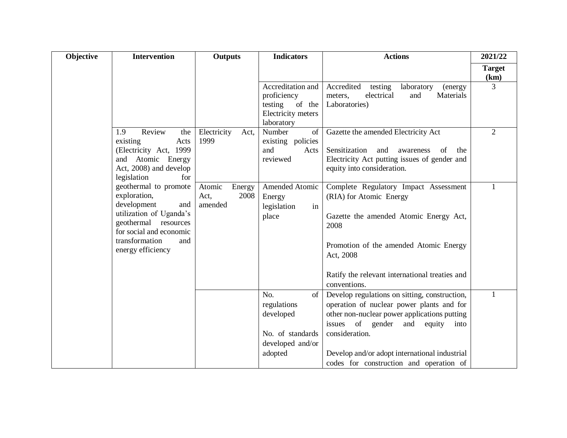| Objective | <b>Intervention</b>                                                                                                                                                                     | <b>Outputs</b>                              | <b>Indicators</b>                                                                         | <b>Actions</b>                                                                                                                                                                                                                                                   | 2021/22               |
|-----------|-----------------------------------------------------------------------------------------------------------------------------------------------------------------------------------------|---------------------------------------------|-------------------------------------------------------------------------------------------|------------------------------------------------------------------------------------------------------------------------------------------------------------------------------------------------------------------------------------------------------------------|-----------------------|
|           |                                                                                                                                                                                         |                                             |                                                                                           |                                                                                                                                                                                                                                                                  | <b>Target</b><br>(km) |
|           |                                                                                                                                                                                         |                                             | Accreditation and<br>proficiency<br>of the<br>testing<br>Electricity meters<br>laboratory | Accredited<br>testing<br>laboratory<br>(energy<br>electrical<br>and<br>Materials<br>meters,<br>Laboratories)                                                                                                                                                     | $\overline{3}$        |
|           | Review<br>1.9<br>the<br>existing<br>Acts<br>(Electricity Act, 1999<br>and Atomic Energy<br>Act, 2008) and develop<br>legislation<br>for                                                 | Electricity<br>Act,<br>1999                 | Number<br>of<br>existing policies<br>and<br>Acts<br>reviewed                              | Gazette the amended Electricity Act<br>Sensitization<br>awareness<br>and<br>of<br>the<br>Electricity Act putting issues of gender and<br>equity into consideration.                                                                                              | $\overline{2}$        |
|           | geothermal to promote<br>exploration,<br>development<br>and<br>utilization of Uganda's<br>geothermal resources<br>for social and economic<br>transformation<br>and<br>energy efficiency | Atomic<br>Energy<br>Act,<br>2008<br>amended | Amended Atomic<br>Energy<br>legislation<br>in<br>place                                    | Complete Regulatory Impact Assessment<br>(RIA) for Atomic Energy<br>Gazette the amended Atomic Energy Act,<br>2008<br>Promotion of the amended Atomic Energy<br>Act, 2008<br>Ratify the relevant international treaties and                                      | 1                     |
|           |                                                                                                                                                                                         |                                             |                                                                                           | conventions.                                                                                                                                                                                                                                                     |                       |
|           |                                                                                                                                                                                         |                                             | No.<br>of<br>regulations<br>developed<br>No. of standards<br>developed and/or<br>adopted  | Develop regulations on sitting, construction,<br>operation of nuclear power plants and for<br>other non-nuclear power applications putting<br>of<br>issues<br>gender<br>and<br>equity<br>into<br>consideration.<br>Develop and/or adopt international industrial | 1                     |
|           |                                                                                                                                                                                         |                                             |                                                                                           | codes for construction and operation of                                                                                                                                                                                                                          |                       |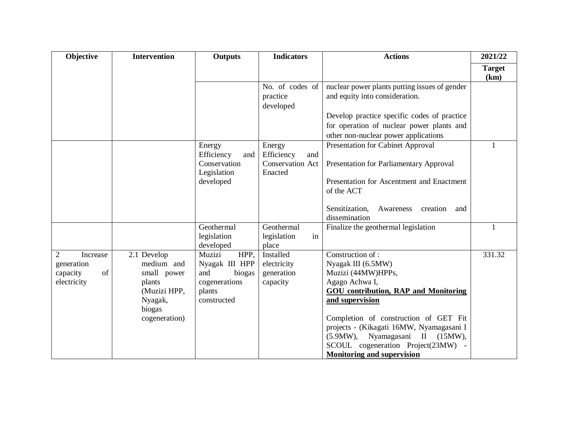| Objective      | <b>Intervention</b> | <b>Outputs</b>              | <b>Indicators</b>           | <b>Actions</b>                                                  | 2021/22               |
|----------------|---------------------|-----------------------------|-----------------------------|-----------------------------------------------------------------|-----------------------|
|                |                     |                             |                             |                                                                 | <b>Target</b><br>(km) |
|                |                     |                             | No. of codes of             | nuclear power plants putting issues of gender                   |                       |
|                |                     |                             | practice<br>developed       | and equity into consideration.                                  |                       |
|                |                     |                             |                             | Develop practice specific codes of practice                     |                       |
|                |                     |                             |                             | for operation of nuclear power plants and                       |                       |
|                |                     |                             |                             | other non-nuclear power applications                            |                       |
|                |                     | Energy<br>Efficiency<br>and | Energy<br>Efficiency<br>and | <b>Presentation for Cabinet Approval</b>                        | $\mathbf{1}$          |
|                |                     | Conservation<br>Legislation | Conservation Act<br>Enacted | Presentation for Parliamentary Approval                         |                       |
|                |                     | developed                   |                             | Presentation for Ascentment and Enactment<br>of the ACT         |                       |
|                |                     |                             |                             | Sensitization,<br>Awareness<br>creation<br>and<br>dissemination |                       |
|                |                     | Geothermal                  | Geothermal                  | Finalize the geothermal legislation                             | 1                     |
|                |                     | legislation<br>developed    | legislation<br>in<br>place  |                                                                 |                       |
| 2<br>Increase  | 2.1 Develop         | Muzizi<br>HPP,              | Installed                   | Construction of:                                                | 331.32                |
| generation     | medium and          | Nyagak III HPP              | electricity                 | Nyagak III (6.5MW)                                              |                       |
| of<br>capacity | small power         | and<br>biogas               | generation                  | Muzizi (44MW)HPPs,                                              |                       |
| electricity    | plants              | cogenerations               | capacity                    | Agago Achwa I,                                                  |                       |
|                | (Muzizi HPP,        | plants                      |                             | <b>GOU</b> contribution, RAP and Monitoring                     |                       |
|                | Nyagak,             | constructed                 |                             | and supervision                                                 |                       |
|                | biogas              |                             |                             |                                                                 |                       |
|                | cogeneration)       |                             |                             | Completion of construction of GET Fit                           |                       |
|                |                     |                             |                             | projects - (Kikagati 16MW, Nyamagasani I                        |                       |
|                |                     |                             |                             | Nyamagasani II<br>$(5.9MW)$ ,<br>(15MW),                        |                       |
|                |                     |                             |                             | SCOUL cogeneration Project(23MW) -                              |                       |
|                |                     |                             |                             | <b>Monitoring and supervision</b>                               |                       |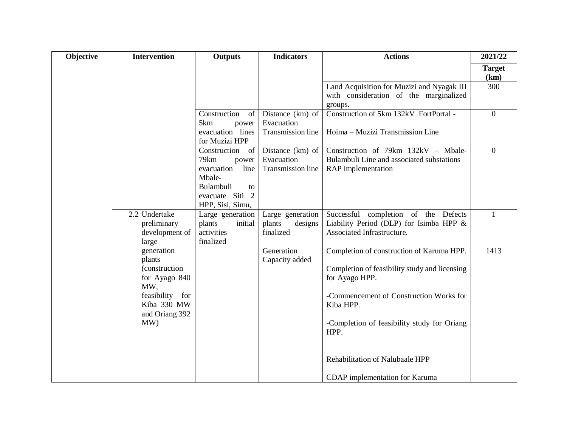| Objective | <b>Intervention</b>                                                                                                      | Outputs                                                                                                                       | <b>Indicators</b>                                   | <b>Actions</b>                                                                                                                                                                                                              | 2021/22               |
|-----------|--------------------------------------------------------------------------------------------------------------------------|-------------------------------------------------------------------------------------------------------------------------------|-----------------------------------------------------|-----------------------------------------------------------------------------------------------------------------------------------------------------------------------------------------------------------------------------|-----------------------|
|           |                                                                                                                          |                                                                                                                               |                                                     |                                                                                                                                                                                                                             | <b>Target</b><br>(km) |
|           |                                                                                                                          |                                                                                                                               |                                                     | Land Acquisition for Muzizi and Nyagak III<br>with consideration of the marginalized<br>groups.                                                                                                                             | 300                   |
|           |                                                                                                                          | Construction<br>of<br>5km<br>power<br>evacuation lines<br>for Muzizi HPP                                                      | Distance (km) of<br>Evacuation<br>Transmission line | Construction of 5km 132kV FortPortal -<br>Hoima – Muzizi Transmission Line                                                                                                                                                  | $\boldsymbol{0}$      |
|           |                                                                                                                          | Construction<br>of<br>79km<br>power<br>evacuation<br>line<br>Mbale-<br>Bulambuli<br>to<br>evacuate Siti 2<br>HPP, Sisi, Simu, | Distance (km) of<br>Evacuation<br>Transmission line | Construction of 79km 132kV - Mbale-<br>Bulambuli Line and associated substations<br>RAP implementation                                                                                                                      | $\overline{0}$        |
|           | 2.2 Undertake<br>preliminary<br>development of<br>large                                                                  | Large generation<br>plants<br>initial<br>activities<br>finalized                                                              | Large generation<br>designs<br>plants<br>finalized  | Successful completion of the Defects<br>Liability Period (DLP) for Isimba HPP &<br>Associated Infrastructure.                                                                                                               | $\mathbf{1}$          |
|           | generation<br>plants<br>(construction<br>for Ayago 840<br>MW,<br>feasibility for<br>Kiba 330 MW<br>and Oriang 392<br>MW) |                                                                                                                               | Generation<br>Capacity added                        | Completion of construction of Karuma HPP.<br>Completion of feasibility study and licensing<br>for Ayago HPP.<br>-Commencement of Construction Works for<br>Kiba HPP.<br>-Completion of feasibility study for Oriang<br>HPP. | 1413                  |
|           |                                                                                                                          |                                                                                                                               |                                                     | Rehabilitation of Nalubaale HPP<br>CDAP implementation for Karuma                                                                                                                                                           |                       |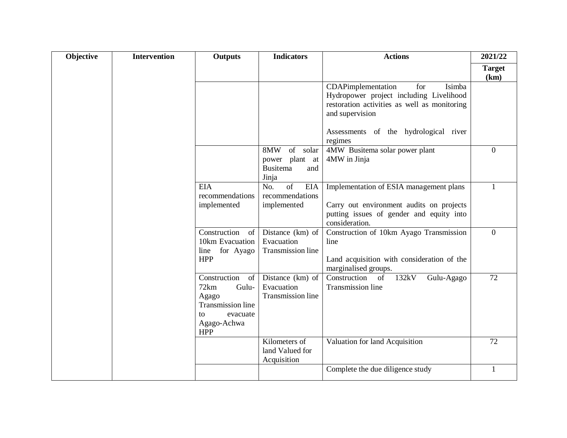| Objective | <b>Intervention</b> | <b>Outputs</b>                                                                                                          | <b>Indicators</b>                                                       | <b>Actions</b>                                                                                                                                    | 2021/22               |
|-----------|---------------------|-------------------------------------------------------------------------------------------------------------------------|-------------------------------------------------------------------------|---------------------------------------------------------------------------------------------------------------------------------------------------|-----------------------|
|           |                     |                                                                                                                         |                                                                         |                                                                                                                                                   | <b>Target</b><br>(km) |
|           |                     |                                                                                                                         |                                                                         | Isimba<br>CDAPimplementation<br>for<br>Hydropower project including Livelihood<br>restoration activities as well as monitoring<br>and supervision |                       |
|           |                     |                                                                                                                         |                                                                         | Assessments of the hydrological river<br>regimes                                                                                                  |                       |
|           |                     |                                                                                                                         | 8MW<br>of solar<br>plant at<br>power<br><b>Busitema</b><br>and<br>Jinja | 4MW Busitema solar power plant<br>4MW in Jinja                                                                                                    | $\Omega$              |
|           |                     | <b>EIA</b><br>recommendations<br>implemented                                                                            | $\overline{of}$<br><b>EIA</b><br>No.<br>recommendations<br>implemented  | Implementation of ESIA management plans<br>Carry out environment audits on projects<br>putting issues of gender and equity into<br>consideration. | $\mathbf{1}$          |
|           |                     | Construction<br>of<br>10km Evacuation<br>for Ayago<br>line<br><b>HPP</b>                                                | Distance (km) of<br>Evacuation<br>Transmission line                     | Construction of 10km Ayago Transmission<br>line<br>Land acquisition with consideration of the<br>marginalised groups.                             | $\overline{0}$        |
|           |                     | Construction<br>of<br>72km<br>Gulu-<br>Agago<br><b>Transmission line</b><br>evacuate<br>to<br>Agago-Achwa<br><b>HPP</b> | Distance $(km)$ of<br>Evacuation<br>Transmission line                   | 132kV<br>Construction of<br>Gulu-Agago<br><b>Transmission line</b>                                                                                | 72                    |
|           |                     |                                                                                                                         | Kilometers of<br>land Valued for<br>Acquisition                         | Valuation for land Acquisition                                                                                                                    | 72                    |
|           |                     |                                                                                                                         |                                                                         | Complete the due diligence study                                                                                                                  | $\mathbf{1}$          |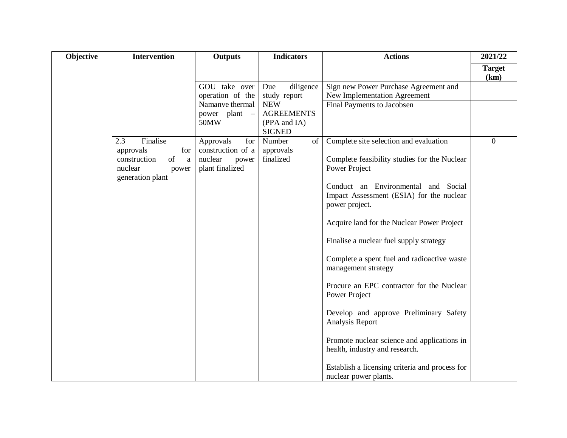| Objective | <b>Intervention</b>                                                                            | <b>Outputs</b>                                           | <b>Indicators</b>                | <b>Actions</b>                                                                                    | 2021/22               |
|-----------|------------------------------------------------------------------------------------------------|----------------------------------------------------------|----------------------------------|---------------------------------------------------------------------------------------------------|-----------------------|
|           |                                                                                                |                                                          |                                  |                                                                                                   | <b>Target</b><br>(km) |
|           |                                                                                                | GOU take over<br>operation of the                        | diligence<br>Due<br>study report | Sign new Power Purchase Agreement and<br><b>New Implementation Agreement</b>                      |                       |
|           |                                                                                                | Namanve thermal                                          | <b>NEW</b>                       | Final Payments to Jacobsen                                                                        |                       |
|           |                                                                                                | power plant<br>$\overline{\phantom{a}}$                  | <b>AGREEMENTS</b>                |                                                                                                   |                       |
|           |                                                                                                | 50MW                                                     | (PPA and IA)<br><b>SIGNED</b>    |                                                                                                   |                       |
|           | Finalise<br>2.3                                                                                | Approvals<br>for                                         | Number<br>of                     | Complete site selection and evaluation                                                            | $\Omega$              |
|           | approvals<br>for<br>construction<br>of<br>$\mathbf{a}$<br>nuclear<br>power<br>generation plant | construction of a<br>nuclear<br>power<br>plant finalized | approvals<br>finalized           | Complete feasibility studies for the Nuclear<br>Power Project                                     |                       |
|           |                                                                                                |                                                          |                                  | Conduct an Environmental and Social<br>Impact Assessment (ESIA) for the nuclear<br>power project. |                       |
|           |                                                                                                |                                                          |                                  | Acquire land for the Nuclear Power Project                                                        |                       |
|           |                                                                                                |                                                          |                                  | Finalise a nuclear fuel supply strategy                                                           |                       |
|           |                                                                                                |                                                          |                                  | Complete a spent fuel and radioactive waste<br>management strategy                                |                       |
|           |                                                                                                |                                                          |                                  | Procure an EPC contractor for the Nuclear<br>Power Project                                        |                       |
|           |                                                                                                |                                                          |                                  | Develop and approve Preliminary Safety<br>Analysis Report                                         |                       |
|           |                                                                                                |                                                          |                                  | Promote nuclear science and applications in<br>health, industry and research.                     |                       |
|           |                                                                                                |                                                          |                                  | Establish a licensing criteria and process for<br>nuclear power plants.                           |                       |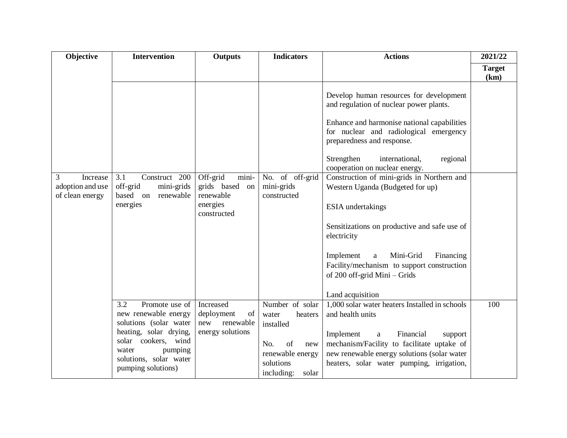| <b>Objective</b>                                     | <b>Intervention</b>                                                     | Outputs                                           | <b>Indicators</b>                                | <b>Actions</b>                                                                                                                                 | 2021/22               |
|------------------------------------------------------|-------------------------------------------------------------------------|---------------------------------------------------|--------------------------------------------------|------------------------------------------------------------------------------------------------------------------------------------------------|-----------------------|
|                                                      |                                                                         |                                                   |                                                  |                                                                                                                                                | <b>Target</b><br>(km) |
|                                                      |                                                                         |                                                   |                                                  | Develop human resources for development<br>and regulation of nuclear power plants.                                                             |                       |
|                                                      |                                                                         |                                                   |                                                  | Enhance and harmonise national capabilities<br>for nuclear and radiological emergency<br>preparedness and response.                            |                       |
|                                                      |                                                                         |                                                   |                                                  | Strengthen<br>international,<br>regional<br>cooperation on nuclear energy.                                                                     |                       |
| 3<br>Increase<br>adoption and use<br>of clean energy | 3.1<br>Construct 200<br>off-grid<br>mini-grids<br>based on<br>renewable | Off-grid<br>mini-<br>grids based on<br>renewable  | No. of off-grid<br>mini-grids<br>constructed     | Construction of mini-grids in Northern and<br>Western Uganda (Budgeted for up)                                                                 |                       |
|                                                      | energies                                                                | energies<br>constructed                           |                                                  | ESIA undertakings                                                                                                                              |                       |
|                                                      |                                                                         |                                                   |                                                  | Sensitizations on productive and safe use of<br>electricity                                                                                    |                       |
|                                                      |                                                                         |                                                   |                                                  | Mini-Grid<br>Implement<br>Financing<br>a<br>Facility/mechanism to support construction<br>of 200 off-grid Mini - Grids                         |                       |
|                                                      |                                                                         |                                                   |                                                  | Land acquisition                                                                                                                               |                       |
|                                                      | 3.2<br>Promote use of<br>new renewable energy<br>solutions (solar water | Increased<br>of<br>deployment<br>renewable<br>new | Number of solar<br>water<br>heaters<br>installed | 1,000 solar water heaters Installed in schools<br>and health units                                                                             | 100                   |
|                                                      | heating, solar drying,<br>solar cookers, wind<br>pumping<br>water       | energy solutions                                  | of<br>No.<br>new<br>renewable energy             | Financial<br>Implement<br>$\mathbf{a}$<br>support<br>mechanism/Facility to facilitate uptake of<br>new renewable energy solutions (solar water |                       |
|                                                      | solutions, solar water<br>pumping solutions)                            |                                                   | solutions<br>including:<br>solar                 | heaters, solar water pumping, irrigation,                                                                                                      |                       |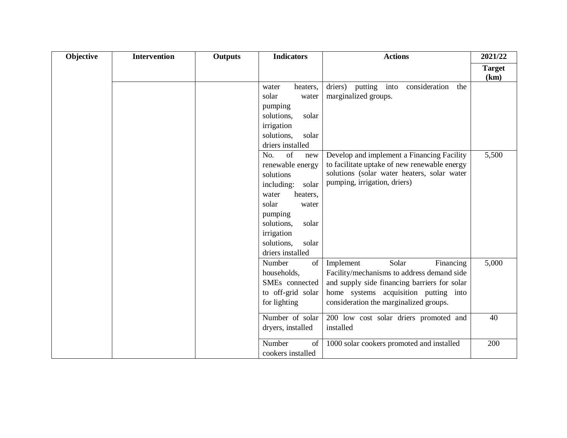| Objective | Intervention | <b>Outputs</b> | <b>Indicators</b>   | <b>Actions</b>                               | 2021/22               |
|-----------|--------------|----------------|---------------------|----------------------------------------------|-----------------------|
|           |              |                |                     |                                              | <b>Target</b><br>(km) |
|           |              |                | heaters,<br>water   | consideration<br>driers) putting into<br>the |                       |
|           |              |                | solar<br>water      | marginalized groups.                         |                       |
|           |              |                | pumping             |                                              |                       |
|           |              |                | solutions,<br>solar |                                              |                       |
|           |              |                | irrigation          |                                              |                       |
|           |              |                | solutions,<br>solar |                                              |                       |
|           |              |                | driers installed    |                                              |                       |
|           |              |                | of<br>No.<br>new    | Develop and implement a Financing Facility   | 5,500                 |
|           |              |                | renewable energy    | to facilitate uptake of new renewable energy |                       |
|           |              |                | solutions           | solutions (solar water heaters, solar water  |                       |
|           |              |                | including:<br>solar | pumping, irrigation, driers)                 |                       |
|           |              |                | water<br>heaters,   |                                              |                       |
|           |              |                | solar<br>water      |                                              |                       |
|           |              |                | pumping             |                                              |                       |
|           |              |                | solutions,<br>solar |                                              |                       |
|           |              |                | irrigation          |                                              |                       |
|           |              |                | solutions,<br>solar |                                              |                       |
|           |              |                | driers installed    |                                              |                       |
|           |              |                | Number<br>$\sigma$  | Solar<br>Implement<br>Financing              | 5,000                 |
|           |              |                | households,         | Facility/mechanisms to address demand side   |                       |
|           |              |                | SMEs connected      | and supply side financing barriers for solar |                       |
|           |              |                | to off-grid solar   | home systems acquisition putting into        |                       |
|           |              |                | for lighting        | consideration the marginalized groups.       |                       |
|           |              |                | Number of solar     | 200 low cost solar driers promoted and       | 40                    |
|           |              |                | dryers, installed   | installed                                    |                       |
|           |              |                | Number<br>of        | 1000 solar cookers promoted and installed    | 200                   |
|           |              |                | cookers installed   |                                              |                       |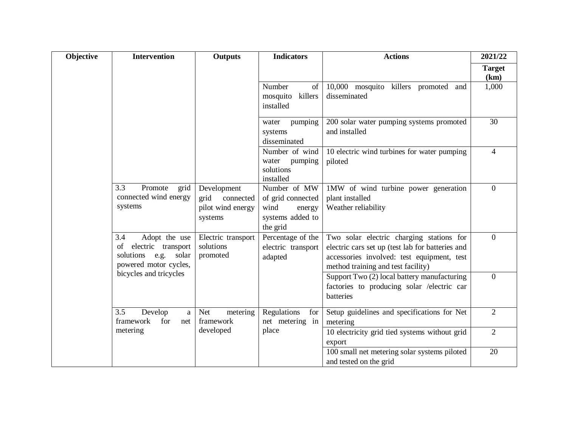| Objective | <b>Intervention</b>                                                                                  | <b>Outputs</b>                                                   | <b>Indicators</b>                                                                   | <b>Actions</b>                                                                                                                                                                   | 2021/22               |
|-----------|------------------------------------------------------------------------------------------------------|------------------------------------------------------------------|-------------------------------------------------------------------------------------|----------------------------------------------------------------------------------------------------------------------------------------------------------------------------------|-----------------------|
|           |                                                                                                      |                                                                  |                                                                                     |                                                                                                                                                                                  | <b>Target</b><br>(km) |
|           |                                                                                                      |                                                                  | Number<br>of<br>killers<br>mosquito<br>installed                                    | 10,000 mosquito killers promoted and<br>disseminated                                                                                                                             | 1,000                 |
|           |                                                                                                      |                                                                  | pumping<br>water<br>systems<br>disseminated                                         | 200 solar water pumping systems promoted<br>and installed                                                                                                                        | 30                    |
|           |                                                                                                      |                                                                  | Number of wind<br>water<br>pumping<br>solutions<br>installed                        | 10 electric wind turbines for water pumping<br>piloted                                                                                                                           | 4                     |
|           | Promote<br>3.3<br>grid<br>connected wind energy<br>systems                                           | Development<br>grid<br>connected<br>pilot wind energy<br>systems | Number of MW<br>of grid connected<br>wind<br>energy<br>systems added to<br>the grid | 1MW of wind turbine power generation<br>plant installed<br>Weather reliability                                                                                                   | $\overline{0}$        |
|           | Adopt the use<br>3.4<br>electric transport<br>of<br>solutions<br>e.g. solar<br>powered motor cycles, | Electric transport<br>solutions<br>promoted                      | Percentage of the<br>electric transport<br>adapted                                  | Two solar electric charging stations for<br>electric cars set up (test lab for batteries and<br>accessories involved: test equipment, test<br>method training and test facility) | $\overline{0}$        |
|           | bicycles and tricycles                                                                               |                                                                  |                                                                                     | Support Two (2) local battery manufacturing<br>factories to producing solar /electric car<br>batteries                                                                           | $\overline{0}$        |
|           | 3.5<br>Develop<br>a.<br>framework<br>for<br>net                                                      | <b>Net</b><br>metering<br>framework                              | Regulations<br>for<br>net metering in                                               | Setup guidelines and specifications for Net<br>metering                                                                                                                          | $\overline{2}$        |
|           | metering                                                                                             | developed                                                        | place                                                                               | 10 electricity grid tied systems without grid<br>export                                                                                                                          | $\overline{2}$        |
|           |                                                                                                      |                                                                  |                                                                                     | 100 small net metering solar systems piloted<br>and tested on the grid                                                                                                           | 20                    |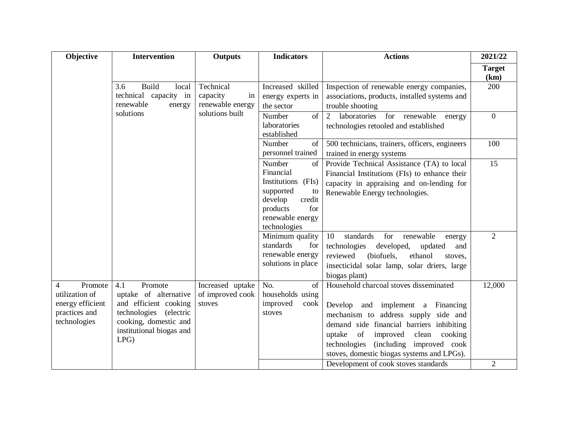| Objective                                                                           | <b>Intervention</b>                                                                                                                                    | <b>Outputs</b>                                  | <b>Indicators</b>                                                                                                                              | <b>Actions</b>                                                                                                                                                                                                                                                                                             | 2021/22               |
|-------------------------------------------------------------------------------------|--------------------------------------------------------------------------------------------------------------------------------------------------------|-------------------------------------------------|------------------------------------------------------------------------------------------------------------------------------------------------|------------------------------------------------------------------------------------------------------------------------------------------------------------------------------------------------------------------------------------------------------------------------------------------------------------|-----------------------|
|                                                                                     |                                                                                                                                                        |                                                 |                                                                                                                                                |                                                                                                                                                                                                                                                                                                            | <b>Target</b><br>(km) |
|                                                                                     | <b>Build</b><br>3.6<br>local<br>technical capacity in<br>renewable<br>energy                                                                           | Technical<br>capacity<br>in<br>renewable energy | Increased skilled<br>energy experts in<br>the sector                                                                                           | Inspection of renewable energy companies,<br>associations, products, installed systems and<br>trouble shooting                                                                                                                                                                                             | 200                   |
|                                                                                     | solutions                                                                                                                                              | solutions built                                 | Number<br>of<br>laboratories<br>established                                                                                                    | 2 laboratories for renewable<br>energy<br>technologies retooled and established                                                                                                                                                                                                                            | $\overline{0}$        |
|                                                                                     |                                                                                                                                                        |                                                 | Number<br>of<br>personnel trained                                                                                                              | 500 technicians, trainers, officers, engineers<br>trained in energy systems                                                                                                                                                                                                                                | 100                   |
|                                                                                     |                                                                                                                                                        |                                                 | Number<br>of<br>Financial<br>Institutions (FIs)<br>supported<br>to<br>develop<br>credit<br>for<br>products<br>renewable energy<br>technologies | Provide Technical Assistance (TA) to local<br>Financial Institutions (FIs) to enhance their<br>capacity in appraising and on-lending for<br>Renewable Energy technologies.                                                                                                                                 | 15                    |
|                                                                                     |                                                                                                                                                        |                                                 | Minimum quality<br>standards<br>for<br>renewable energy<br>solutions in place                                                                  | 10<br>standards<br>for<br>renewable<br>energy<br>technologies<br>developed,<br>updated<br>and<br>reviewed<br>(biofuels,<br>ethanol<br>stoves,<br>insecticidal solar lamp, solar driers, large<br>biogas plant)                                                                                             | 2                     |
| Promote<br>4<br>utilization of<br>energy efficient<br>practices and<br>technologies | 4.1<br>Promote<br>uptake of alternative<br>and efficient cooking<br>technologies (electric<br>cooking, domestic and<br>institutional biogas and<br>LPG | Increased uptake<br>of improved cook<br>stoves  | No.<br>of<br>households using<br>improved<br>cook<br>stoves                                                                                    | Household charcoal stoves disseminated<br>Develop and implement a Financing<br>mechanism to address supply side and<br>demand side financial barriers inhibiting<br>of<br>improved<br>clean<br>uptake<br>cooking<br>technologies<br>(including improved cook<br>stoves, domestic biogas systems and LPGs). | 12,000                |
|                                                                                     |                                                                                                                                                        |                                                 |                                                                                                                                                | Development of cook stoves standards                                                                                                                                                                                                                                                                       | $\overline{2}$        |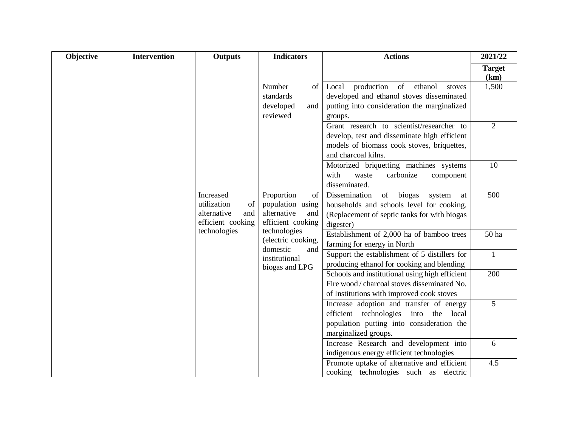| Objective | <b>Intervention</b> | Outputs                                                                   | <b>Indicators</b>                                                                     | <b>Actions</b>                                                                                                                                                     | 2021/22               |
|-----------|---------------------|---------------------------------------------------------------------------|---------------------------------------------------------------------------------------|--------------------------------------------------------------------------------------------------------------------------------------------------------------------|-----------------------|
|           |                     |                                                                           |                                                                                       |                                                                                                                                                                    | <b>Target</b><br>(km) |
|           |                     |                                                                           | Number<br>of<br>standards<br>developed<br>and<br>reviewed                             | production<br>ethanol<br>of<br>Local<br>stoves<br>developed and ethanol stoves disseminated<br>putting into consideration the marginalized<br>groups.              | 1,500                 |
|           |                     |                                                                           |                                                                                       | Grant research to scientist/researcher to<br>develop, test and disseminate high efficient<br>models of biomass cook stoves, briquettes,<br>and charcoal kilns.     | 2                     |
|           |                     |                                                                           |                                                                                       | Motorized briquetting machines systems<br>with<br>carbonize<br>waste<br>component<br>disseminated.                                                                 | 10                    |
|           |                     | Increased<br>utilization<br>of<br>alternative<br>and<br>efficient cooking | Proportion<br>$\sigma$<br>population using<br>alternative<br>and<br>efficient cooking | Dissemination<br>biogas<br>$\sigma$<br>system<br>at<br>households and schools level for cooking.<br>(Replacement of septic tanks for with biogas<br>digester)      | 500                   |
|           |                     | technologies                                                              | technologies<br>(electric cooking,                                                    | Establishment of 2,000 ha of bamboo trees<br>farming for energy in North                                                                                           | 50 ha                 |
|           |                     |                                                                           | domestic<br>and<br>institutional<br>biogas and LPG                                    | Support the establishment of 5 distillers for<br>producing ethanol for cooking and blending                                                                        | $\mathbf{1}$          |
|           |                     |                                                                           |                                                                                       | Schools and institutional using high efficient<br>Fire wood / charcoal stoves disseminated No.<br>of Institutions with improved cook stoves                        | 200                   |
|           |                     |                                                                           |                                                                                       | Increase adoption and transfer of energy<br>efficient<br>technologies<br>into<br>the<br>local<br>population putting into consideration the<br>marginalized groups. | 5                     |
|           |                     |                                                                           |                                                                                       | Increase Research and development into<br>indigenous energy efficient technologies                                                                                 | 6                     |
|           |                     |                                                                           |                                                                                       | Promote uptake of alternative and efficient<br>cooking technologies such as electric                                                                               | 4.5                   |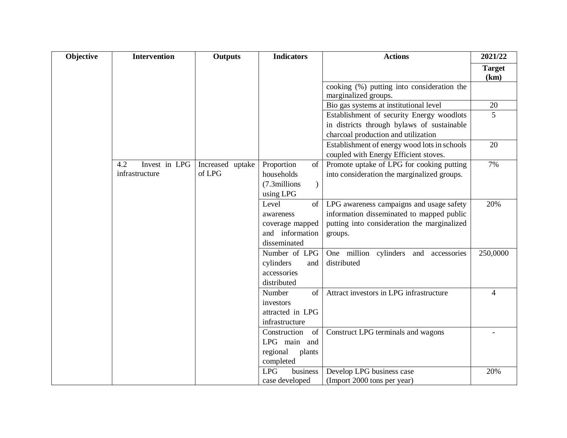| Objective | <b>Intervention</b>  | <b>Outputs</b>   | <b>Indicators</b>                   | <b>Actions</b>                                                     | 2021/22               |
|-----------|----------------------|------------------|-------------------------------------|--------------------------------------------------------------------|-----------------------|
|           |                      |                  |                                     |                                                                    | <b>Target</b><br>(km) |
|           |                      |                  |                                     | cooking (%) putting into consideration the<br>marginalized groups. |                       |
|           |                      |                  |                                     | Bio gas systems at institutional level                             | 20                    |
|           |                      |                  |                                     | Establishment of security Energy woodlots                          | $5\overline{)}$       |
|           |                      |                  |                                     | in districts through bylaws of sustainable                         |                       |
|           |                      |                  |                                     | charcoal production and utilization                                |                       |
|           |                      |                  |                                     | Establishment of energy wood lots in schools                       | 20                    |
|           |                      |                  |                                     | coupled with Energy Efficient stoves.                              |                       |
|           | Invest in LPG<br>4.2 | Increased uptake | Proportion<br>of                    | Promote uptake of LPG for cooking putting                          | 7%                    |
|           | infrastructure       | of LPG           | households                          | into consideration the marginalized groups.                        |                       |
|           |                      |                  | $\mathcal{L}$<br>(7.3millions       |                                                                    |                       |
|           |                      |                  | using LPG                           |                                                                    |                       |
|           |                      |                  | Level<br>of                         | LPG awareness campaigns and usage safety                           | 20%                   |
|           |                      |                  | awareness                           | information disseminated to mapped public                          |                       |
|           |                      |                  | coverage mapped                     | putting into consideration the marginalized                        |                       |
|           |                      |                  | and information                     | groups.                                                            |                       |
|           |                      |                  | disseminated                        |                                                                    |                       |
|           |                      |                  | Number of LPG                       | One million cylinders and accessories                              | 250,0000              |
|           |                      |                  | cylinders<br>and                    | distributed                                                        |                       |
|           |                      |                  | accessories                         |                                                                    |                       |
|           |                      |                  | distributed                         |                                                                    |                       |
|           |                      |                  | Number<br>of                        | Attract investors in LPG infrastructure                            | $\overline{4}$        |
|           |                      |                  | investors                           |                                                                    |                       |
|           |                      |                  | attracted in LPG                    |                                                                    |                       |
|           |                      |                  | infrastructure                      |                                                                    |                       |
|           |                      |                  | Construction<br>of<br>LPG main and  | Construct LPG terminals and wagons                                 |                       |
|           |                      |                  |                                     |                                                                    |                       |
|           |                      |                  | regional<br>plants                  |                                                                    |                       |
|           |                      |                  | completed<br><b>LPG</b><br>business | Develop LPG business case                                          | 20%                   |
|           |                      |                  |                                     |                                                                    |                       |
|           |                      |                  | case developed                      | (Import 2000 tons per year)                                        |                       |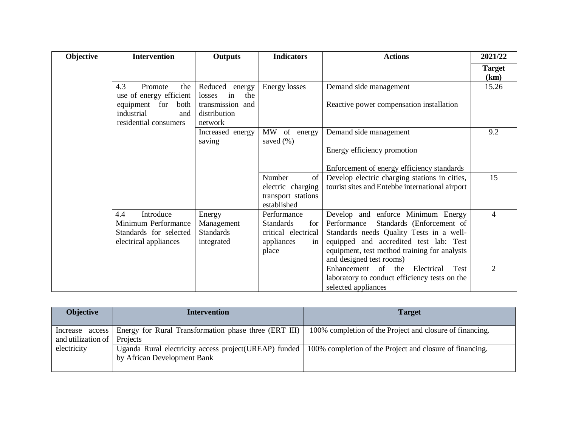| Objective | <b>Intervention</b>                                                                         | Outputs                                                                   | <b>Indicators</b>                                                                          | <b>Actions</b>                                                                                                                                                                                                                                   | 2021/22               |
|-----------|---------------------------------------------------------------------------------------------|---------------------------------------------------------------------------|--------------------------------------------------------------------------------------------|--------------------------------------------------------------------------------------------------------------------------------------------------------------------------------------------------------------------------------------------------|-----------------------|
|           |                                                                                             |                                                                           |                                                                                            |                                                                                                                                                                                                                                                  | <b>Target</b><br>(km) |
|           | 4.3<br>Promote<br>the<br>use of energy efficient<br>equipment for both<br>industrial<br>and | Reduced energy<br>in<br>the<br>losses<br>transmission and<br>distribution | Energy losses                                                                              | Demand side management<br>Reactive power compensation installation                                                                                                                                                                               | 15.26                 |
|           | residential consumers                                                                       | network<br>Increased energy                                               | MW of energy                                                                               | Demand side management                                                                                                                                                                                                                           | 9.2                   |
|           |                                                                                             | saving                                                                    | saved $(\%)$                                                                               | Energy efficiency promotion                                                                                                                                                                                                                      |                       |
|           |                                                                                             |                                                                           |                                                                                            | Enforcement of energy efficiency standards                                                                                                                                                                                                       |                       |
|           |                                                                                             |                                                                           | Number<br>of<br>electric charging<br>transport stations<br>established                     | Develop electric charging stations in cities,<br>tourist sites and Entebbe international airport                                                                                                                                                 | 15                    |
|           | 4.4<br>Introduce<br>Minimum Performance<br>Standards for selected<br>electrical appliances  | Energy<br>Management<br><b>Standards</b><br>integrated                    | Performance<br><b>Standards</b><br>for<br>critical electrical<br>appliances<br>in<br>place | Develop and enforce Minimum Energy<br>Standards (Enforcement of<br>Performance<br>Standards needs Quality Tests in a well-<br>equipped and accredited test lab: Test<br>equipment, test method training for analysts<br>and designed test rooms) | 4                     |
|           |                                                                                             |                                                                           |                                                                                            | Electrical<br>Enhancement of the<br>Test<br>laboratory to conduct efficiency tests on the<br>selected appliances                                                                                                                                 | $\overline{2}$        |

| <b>Objective</b>            | <b>Intervention</b>                                                                    | <b>Target</b>                                            |
|-----------------------------|----------------------------------------------------------------------------------------|----------------------------------------------------------|
| and utilization of Projects | Increase access Energy for Rural Transformation phase three (ERT III)                  | 100% completion of the Project and closure of financing. |
| electricity                 | Uganda Rural electricity access project(UREAP) funded  <br>by African Development Bank | 100% completion of the Project and closure of financing. |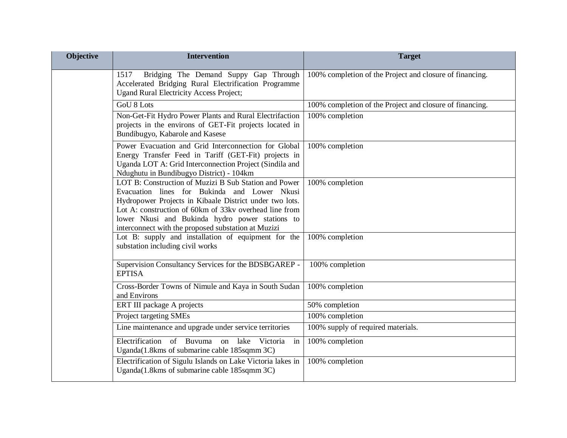| <b>Objective</b> | <b>Intervention</b>                                                                                                                                                                                                                                                                                                                  | <b>Target</b>                                            |
|------------------|--------------------------------------------------------------------------------------------------------------------------------------------------------------------------------------------------------------------------------------------------------------------------------------------------------------------------------------|----------------------------------------------------------|
|                  | Bridging The Demand Suppy Gap Through<br>1517<br>Accelerated Bridging Rural Electrification Programme<br><b>Ugand Rural Electricity Access Project;</b>                                                                                                                                                                              | 100% completion of the Project and closure of financing. |
|                  | <b>GoU 8 Lots</b>                                                                                                                                                                                                                                                                                                                    | 100% completion of the Project and closure of financing. |
|                  | Non-Get-Fit Hydro Power Plants and Rural Electrifaction<br>projects in the environs of GET-Fit projects located in<br>Bundibugyo, Kabarole and Kasese                                                                                                                                                                                | 100% completion                                          |
|                  | Power Evacuation and Grid Interconnection for Global<br>Energy Transfer Feed in Tariff (GET-Fit) projects in<br>Uganda LOT A: Grid Interconnection Project (Sindila and<br>Ndughutu in Bundibugyo District) - 104km                                                                                                                  | 100% completion                                          |
|                  | LOT B: Construction of Muzizi B Sub Station and Power<br>Evacuation lines for Bukinda and Lower Nkusi<br>Hydropower Projects in Kibaale District under two lots.<br>Lot A: construction of 60km of 33kv overhead line from<br>lower Nkusi and Bukinda hydro power stations to<br>interconnect with the proposed substation at Muzizi | 100% completion                                          |
|                  | Lot B: supply and installation of equipment for the<br>substation including civil works                                                                                                                                                                                                                                              | 100% completion                                          |
|                  | Supervision Consultancy Services for the BDSBGAREP -<br><b>EPTISA</b>                                                                                                                                                                                                                                                                | 100% completion                                          |
|                  | Cross-Border Towns of Nimule and Kaya in South Sudan<br>and Environs                                                                                                                                                                                                                                                                 | 100% completion                                          |
|                  | ERT III package A projects                                                                                                                                                                                                                                                                                                           | 50% completion                                           |
|                  | Project targeting SMEs                                                                                                                                                                                                                                                                                                               | 100% completion                                          |
|                  | Line maintenance and upgrade under service territories                                                                                                                                                                                                                                                                               | 100% supply of required materials.                       |
|                  | Electrification of Buvuma<br>lake<br>Victoria<br>on<br>in<br>Uganda(1.8kms of submarine cable 185sqmm 3C)                                                                                                                                                                                                                            | 100% completion                                          |
|                  | Electrification of Sigulu Islands on Lake Victoria lakes in<br>Uganda(1.8kms of submarine cable 185sqmm 3C)                                                                                                                                                                                                                          | 100% completion                                          |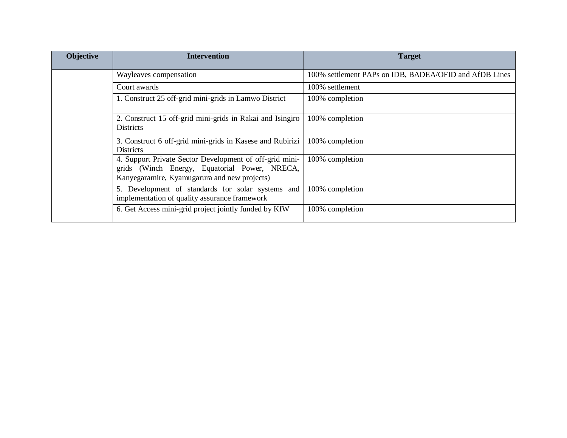| <b>Objective</b> | <b>Intervention</b>                                                                                                                                      | <b>Target</b>                                          |
|------------------|----------------------------------------------------------------------------------------------------------------------------------------------------------|--------------------------------------------------------|
|                  | Wayleaves compensation                                                                                                                                   | 100% settlement PAPs on IDB, BADEA/OFID and AfDB Lines |
|                  | Court awards                                                                                                                                             | 100% settlement                                        |
|                  | 1. Construct 25 off-grid mini-grids in Lamwo District                                                                                                    | 100% completion                                        |
|                  | 2. Construct 15 off-grid mini-grids in Rakai and Isingiro<br><b>Districts</b>                                                                            | 100% completion                                        |
|                  | 3. Construct 6 off-grid mini-grids in Kasese and Rubirizi<br><b>Districts</b>                                                                            | 100% completion                                        |
|                  | 4. Support Private Sector Development of off-grid mini-<br>grids (Winch Energy, Equatorial Power, NRECA,<br>Kanyegaramire, Kyamugarura and new projects) | 100% completion                                        |
|                  | 5. Development of standards for solar systems and<br>implementation of quality assurance framework                                                       | 100% completion                                        |
|                  | 6. Get Access mini-grid project jointly funded by KfW                                                                                                    | 100% completion                                        |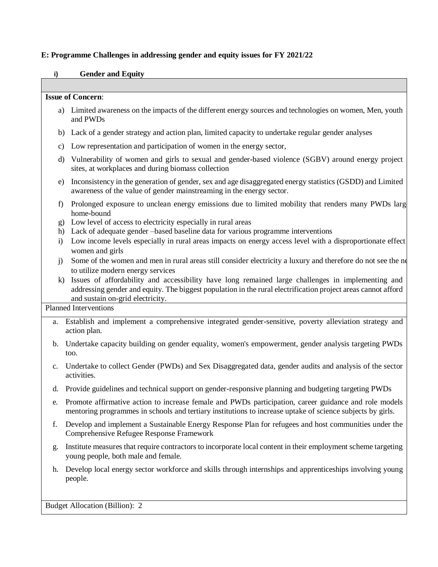## **E: Programme Challenges in addressing gender and equity issues for FY 2021/22**

### **i) Gender and Equity**

#### **Issue of Concern**:

- a) Limited awareness on the impacts of the different energy sources and technologies on women, Men, youth and PWDs
- b) Lack of a gender strategy and action plan, limited capacity to undertake regular gender analyses
- c) Low representation and participation of women in the energy sector,
- d) Vulnerability of women and girls to sexual and gender-based violence (SGBV) around energy project sites, at workplaces and during biomass collection
- e) Inconsistency in the generation of gender, sex and age disaggregated energy statistics (GSDD) and Limited awareness of the value of gender mainstreaming in the energy sector.
- f) Prolonged exposure to unclean energy emissions due to limited mobility that renders many PWDs largely home-bound
- g) Low level of access to electricity especially in rural areas
- h) Lack of adequate gender –based baseline data for various programme interventions
- i) Low income levels especially in rural areas impacts on energy access level with a disproportionate effect women and girls
- j) Some of the women and men in rural areas still consider electricity a luxury and therefore do not see the ne to utilize modern energy services
- k) Issues of affordability and accessibility have long remained large challenges in implementing and addressing gender and equity. The biggest population in the rural electrification project areas cannot afford and sustain on-grid electricity.

# Planned Interventions

- a. Establish and implement a comprehensive integrated gender-sensitive, poverty alleviation strategy and action plan.
- b. Undertake capacity building on gender equality, women's empowerment, gender analysis targeting PWDs too.
- c. Undertake to collect Gender (PWDs) and Sex Disaggregated data, gender audits and analysis of the sector activities.
- d. Provide guidelines and technical support on gender-responsive planning and budgeting targeting PWDs
- e. Promote affirmative action to increase female and PWDs participation, career guidance and role models mentoring programmes in schools and tertiary institutions to increase uptake of science subjects by girls.
- f. Develop and implement a Sustainable Energy Response Plan for refugees and host communities under the Comprehensive Refugee Response Framework
- g. Institute measures that require contractors to incorporate local content in their employment scheme targeting young people, both male and female.
- h. Develop local energy sector workforce and skills through internships and apprenticeships involving young people.

Budget Allocation (Billion): 2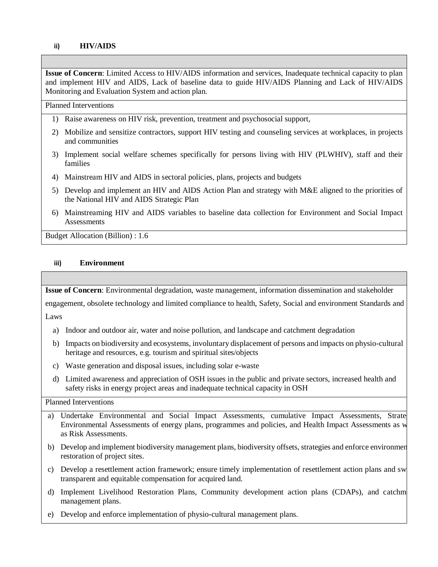### **ii) HIV/AIDS**

**Issue of Concern**: Limited Access to HIV/AIDS information and services, Inadequate technical capacity to plan and implement HIV and AIDS, Lack of baseline data to guide HIV/AIDS Planning and Lack of HIV/AIDS Monitoring and Evaluation System and action plan.

Planned Interventions

- 1) Raise awareness on HIV risk, prevention, treatment and psychosocial support,
- 2) Mobilize and sensitize contractors, support HIV testing and counseling services at workplaces, in projects and communities
- 3) Implement social welfare schemes specifically for persons living with HIV (PLWHIV), staff and their families
- 4) Mainstream HIV and AIDS in sectoral policies, plans, projects and budgets
- 5) Develop and implement an HIV and AIDS Action Plan and strategy with M&E aligned to the priorities of the National HIV and AIDS Strategic Plan
- 6) Mainstreaming HIV and AIDS variables to baseline data collection for Environment and Social Impact **Assessments**

Budget Allocation (Billion) : 1.6

### **iii) Environment**

**Issue of Concern**: Environmental degradation, waste management, information dissemination and stakeholder

engagement, obsolete technology and limited compliance to health, Safety, Social and environment Standards and

Laws

- a) Indoor and outdoor air, water and noise pollution, and landscape and catchment degradation
- b) Impacts on biodiversity and ecosystems, involuntary displacement of persons and impacts on physio-cultural heritage and resources, e.g. tourism and spiritual sites/objects
- c) Waste generation and disposal issues, including solar e-waste
- d) Limited awareness and appreciation of OSH issues in the public and private sectors, increased health and safety risks in energy project areas and inadequate technical capacity in OSH

### Planned Interventions

- a) Undertake Environmental and Social Impact Assessments, cumulative Impact Assessments, Strate Environmental Assessments of energy plans, programmes and policies, and Health Impact Assessments as well as Risk Assessments.
- b) Develop and implement biodiversity management plans, biodiversity offsets, strategies and enforce environment restoration of project sites.
- c) Develop a resettlement action framework; ensure timely implementation of resettlement action plans and swift transparent and equitable compensation for acquired land.
- d) Implement Livelihood Restoration Plans, Community development action plans (CDAPs), and catchm management plans.
- e) Develop and enforce implementation of physio-cultural management plans.